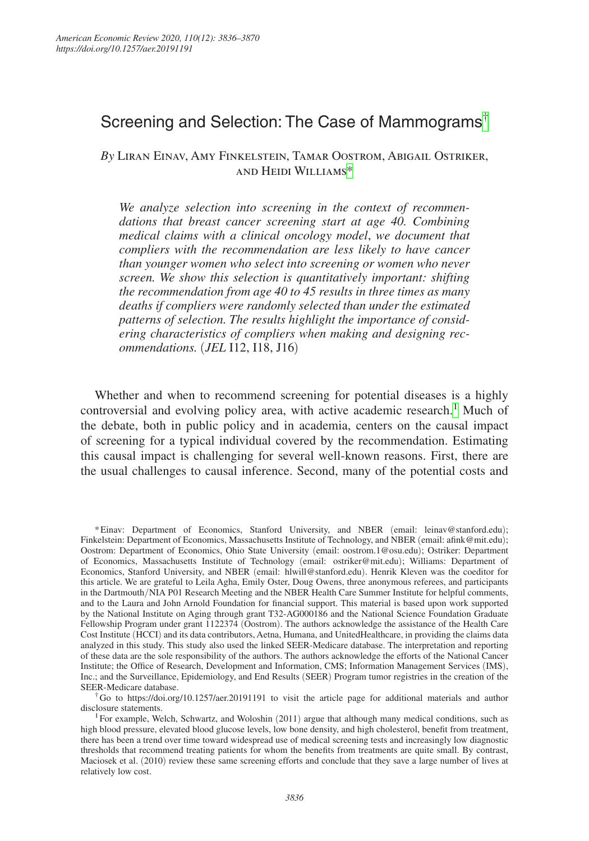# Screening and Selection: The Case of Mammograms[†](#page-0-0)

*By* Liran Einav, Amy Finkelstein, Tamar Oostrom, Abigail Ostriker, and Heidi Williams[\\*](#page-0-1)

*We analyze selection into screening in the context of recommendations that breast cancer screening start at age 40. Combining medical claims with a clinical oncology model*, *we document that compliers with the recommendation are less likely to have cancer than younger women who select into screening or women who never screen. We show this selection is quantitatively important: shifting the recommendation from age 40 to 45 results in three times as many deaths if compliers were randomly selected than under the estimated patterns of selection. The results highlight the importance of considering characteristics of compliers when making and designing recommendations.* (*JEL* I12, I18, J16)

Whether and when to recommend screening for potential diseases is a highly controversial and evolving policy area, with active academic research.<sup>[1](#page-0-2)</sup> Much of the debate, both in public policy and in academia, centers on the causal impact of screening for a typical individual covered by the recommendation. Estimating this causal impact is challenging for several well-known reasons. First, there are the usual challenges to causal inference. Second, many of the potential costs and

<span id="page-0-1"></span><sup>\*</sup>Einav: Department of Economics, Stanford University, and NBER (email: [leinav@stanford.edu](mailto:leinav@stanford.edu)); Finkelstein: Department of Economics, Massachusetts Institute of Technology, and NBER (email: [afink@mit.edu](mailto:afink@mit.edu)); Oostrom: Department of Economics, Ohio State University (email: [oostrom.1@osu.edu](mailto:oostrom.1@osu.edu)); Ostriker: Department of Economics, Massachusetts Institute of Technology (email: [ostriker@mit.edu](mailto:ostriker@mit.edu)); Williams: Department of Economics, Stanford University, and NBER (email: [hlwill@stanford.edu](mailto:hlwill@stanford.edu)). Henrik Kleven was the coeditor for this article. We are grateful to Leila Agha, Emily Oster, Doug Owens, three anonymous referees, and participants in the Dartmouth/NIA P01 Research Meeting and the NBER Health Care Summer Institute for helpful comments, and to the Laura and John Arnold Foundation for financial support. This material is based upon work supported by the National Institute on Aging through grant T32-AG000186 and the National Science Foundation Graduate Fellowship Program under grant 1122374 (Oostrom). The authors acknowledge the assistance of the Health Care Cost Institute (HCCI) and its data contributors, Aetna, Humana, and UnitedHealthcare, in providing the claims data analyzed in this study. This study also used the linked SEER-Medicare database. The interpretation and reporting of these data are the sole responsibility of the authors. The authors acknowledge the efforts of the National Cancer Institute; the Office of Research, Development and Information, CMS; Information Management Services (IMS), Inc.; and the Surveillance, Epidemiology, and End Results (SEER) Program tumor registries in the creation of the SEER-Medicare database.

<span id="page-0-0"></span><sup>†</sup>Go to <https://doi.org/10.1257/aer.20191191>to visit the article page for additional materials and author disclosure statements.

<span id="page-0-2"></span><sup>1</sup>For example, Welch, Schwartz, and Woloshin (2011) argue that although many medical conditions, such as high blood pressure, elevated blood glucose levels, low bone density, and high cholesterol, benefit from treatment, there has been a trend over time toward widespread use of medical screening tests and increasingly low diagnostic thresholds that recommend treating patients for whom the benefits from treatments are quite small. By contrast, Maciosek et al. (2010) review these same screening efforts and conclude that they save a large number of lives at relatively low cost.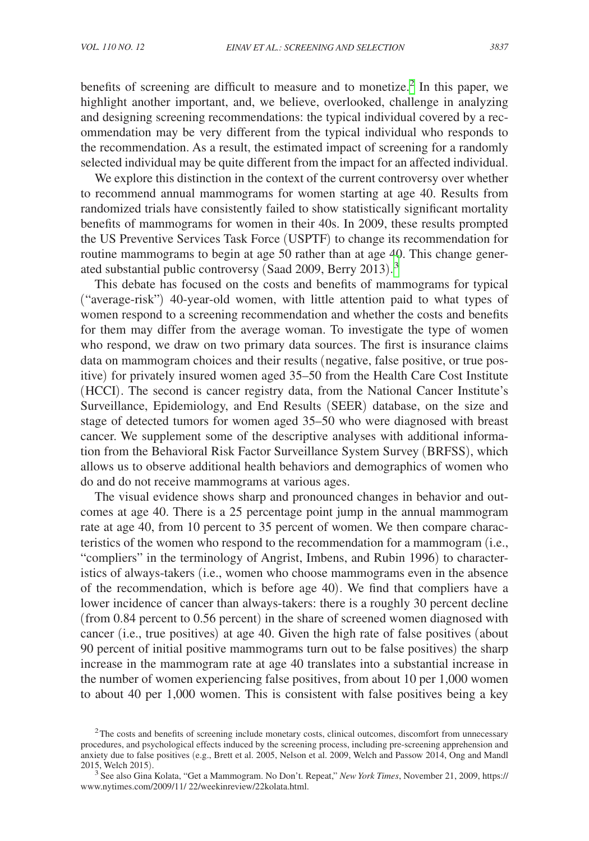benefits of screening are difficult to measure and to monetize.<sup>2</sup> In this paper, we highlight another important, and, we believe, overlooked, challenge in analyzing and designing screening recommendations: the typical individual covered by a recommendation may be very different from the typical individual who responds to the recommendation. As a result, the estimated impact of screening for a randomly selected individual may be quite different from the impact for an affected individual.

We explore this distinction in the context of the current controversy over whether to recommend annual mammograms for women starting at age 40. Results from randomized trials have consistently failed to show statistically significant mortality benefits of mammograms for women in their 40s. In 2009, these results prompted the US Preventive Services Task Force (USPTF) to change its recommendation for routine mammograms to begin at age 50 rather than at age 40. This change generated substantial public controversy (Saad 2009, Berry 2013).[3](#page-1-1)

This debate has focused on the costs and benefits of mammograms for typical ("average-risk") 40-year-old women, with little attention paid to what types of women respond to a screening recommendation and whether the costs and benefits for them may differ from the average woman. To investigate the type of women who respond, we draw on two primary data sources. The first is insurance claims data on mammogram choices and their results (negative, false positive, or true positive) for privately insured women aged 35–50 from the Health Care Cost Institute (HCCI). The second is cancer registry data, from the National Cancer Institute's Surveillance, Epidemiology, and End Results (SEER) database, on the size and stage of detected tumors for women aged 35–50 who were diagnosed with breast cancer. We supplement some of the descriptive analyses with additional information from the Behavioral Risk Factor Surveillance System Survey (BRFSS), which allows us to observe additional health behaviors and demographics of women who do and do not receive mammograms at various ages.

The visual evidence shows sharp and pronounced changes in behavior and outcomes at age 40. There is a 25 percentage point jump in the annual mammogram rate at age 40, from 10 percent to 35 percent of women. We then compare characteristics of the women who respond to the recommendation for a mammogram (i.e., "compliers" in the terminology of Angrist, Imbens, and Rubin 1996) to characteristics of always-takers (i.e., women who choose mammograms even in the absence of the recommendation, which is before age 40). We find that compliers have a lower incidence of cancer than always-takers: there is a roughly 30 percent decline (from 0.84 percent to 0.56 percent) in the share of screened women diagnosed with cancer (i.e., true positives) at age 40. Given the high rate of false positives (about 90 percent of initial positive mammograms turn out to be false positives) the sharp increase in the mammogram rate at age 40 translates into a substantial increase in the number of women experiencing false positives, from about 10 per 1,000 women to about 40 per 1,000 women. This is consistent with false positives being a key

<span id="page-1-0"></span><sup>&</sup>lt;sup>2</sup>The costs and benefits of screening include monetary costs, clinical outcomes, discomfort from unnecessary procedures, and psychological effects induced by the screening process, including pre-screening apprehension and anxiety due to false positives (e.g., Brett et al. 2005, Nelson et al. 2009, Welch and Passow 2014, Ong and Mandl

<span id="page-1-1"></span><sup>&</sup>lt;sup>3</sup> See also Gina Kolata, "Get a Mammogram. No Don't. Repeat," *New York Times*, November 21, 2009, https:// www.nytimes.com/2009/11/ 22/weekinreview/22kolata.html.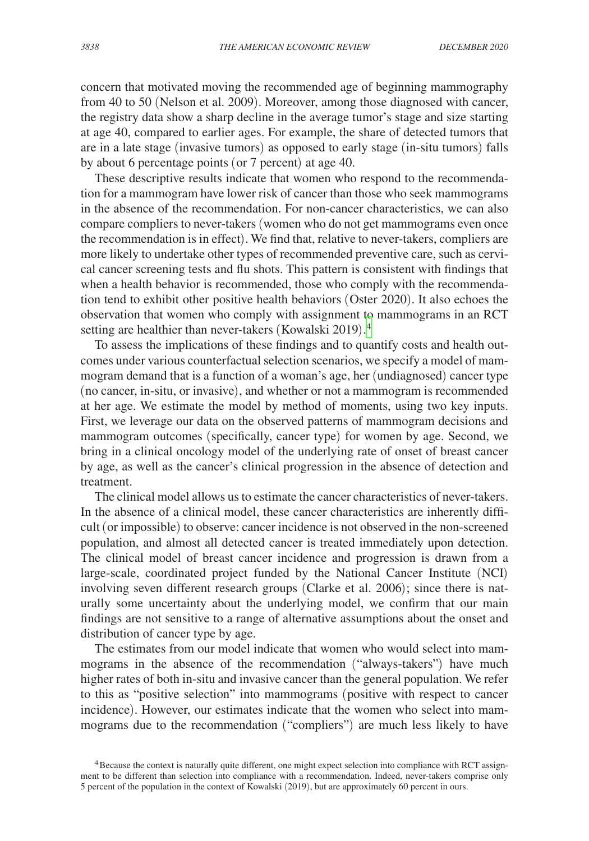concern that motivated moving the recommended age of beginning mammography from 40 to 50 (Nelson et al. 2009). Moreover, among those diagnosed with cancer, the registry data show a sharp decline in the average tumor's stage and size starting at age 40, compared to earlier ages. For example, the share of detected tumors that are in a late stage (invasive tumors) as opposed to early stage (in-situ tumors) falls by about 6 percentage points (or 7 percent) at age 40.

These descriptive results indicate that women who respond to the recommendation for a mammogram have lower risk of cancer than those who seek mammograms in the absence of the recommendation. For non-cancer characteristics, we can also compare compliers to never-takers (women who do not get mammograms even once the recommendation is in effect). We find that, relative to never-takers, compliers are more likely to undertake other types of recommended preventive care, such as cervical cancer screening tests and flu shots. This pattern is consistent with findings that when a health behavior is recommended, those who comply with the recommendation tend to exhibit other positive health behaviors (Oster 2020). It also echoes the observation that women who comply with assignment to mammograms in an RCT setting are healthier than never-takers (Kowalski 2019).<sup>[4](#page-2-0)</sup>

To assess the implications of these findings and to quantify costs and health outcomes under various counterfactual selection scenarios, we specify a model of mammogram demand that is a function of a woman's age, her (undiagnosed) cancer type (no cancer, in-situ, or invasive), and whether or not a mammogram is recommended at her age. We estimate the model by method of moments, using two key inputs. First, we leverage our data on the observed patterns of mammogram decisions and mammogram outcomes (specifically, cancer type) for women by age. Second, we bring in a clinical oncology model of the underlying rate of onset of breast cancer by age, as well as the cancer's clinical progression in the absence of detection and treatment.

The clinical model allows us to estimate the cancer characteristics of never-takers. In the absence of a clinical model, these cancer characteristics are inherently difficult (or impossible) to observe: cancer incidence is not observed in the non-screened population, and almost all detected cancer is treated immediately upon detection. The clinical model of breast cancer incidence and progression is drawn from a large-scale, coordinated project funded by the National Cancer Institute (NCI) involving seven different research groups (Clarke et al. 2006); since there is naturally some uncertainty about the underlying model, we confirm that our main findings are not sensitive to a range of alternative assumptions about the onset and distribution of cancer type by age.

The estimates from our model indicate that women who would select into mammograms in the absence of the recommendation ("always-takers") have much higher rates of both in-situ and invasive cancer than the general population. We refer to this as "positive selection" into mammograms (positive with respect to cancer incidence). However, our estimates indicate that the women who select into mammograms due to the recommendation ("compliers") are much less likely to have

<span id="page-2-0"></span><sup>4</sup>Because the context is naturally quite different, one might expect selection into compliance with RCT assignment to be different than selection into compliance with a recommendation. Indeed, never-takers comprise only 5 percent of the population in the context of Kowalski (2019), but are approximately 60 percent in ours.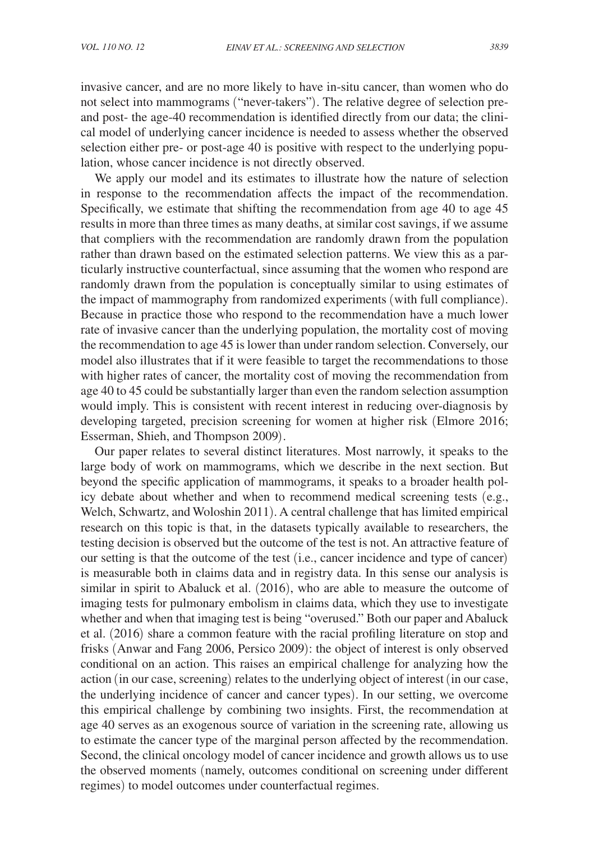invasive cancer, and are no more likely to have in-situ cancer, than women who do not select into mammograms ("never-takers"). The relative degree of selection preand post- the age-40 recommendation is identified directly from our data; the clinical model of underlying cancer incidence is needed to assess whether the observed selection either pre- or post-age 40 is positive with respect to the underlying population, whose cancer incidence is not directly observed.

We apply our model and its estimates to illustrate how the nature of selection in response to the recommendation affects the impact of the recommendation. Specifically, we estimate that shifting the recommendation from age 40 to age 45 results in more than three times as many deaths, at similar cost savings, if we assume that compliers with the recommendation are randomly drawn from the population rather than drawn based on the estimated selection patterns. We view this as a particularly instructive counterfactual, since assuming that the women who respond are randomly drawn from the population is conceptually similar to using estimates of the impact of mammography from randomized experiments (with full compliance). Because in practice those who respond to the recommendation have a much lower rate of invasive cancer than the underlying population, the mortality cost of moving the recommendation to age 45 is lower than under random selection. Conversely, our model also illustrates that if it were feasible to target the recommendations to those with higher rates of cancer, the mortality cost of moving the recommendation from age 40 to 45 could be substantially larger than even the random selection assumption would imply. This is consistent with recent interest in reducing over-diagnosis by developing targeted, precision screening for women at higher risk (Elmore 2016; Esserman, Shieh, and Thompson 2009).

Our paper relates to several distinct literatures. Most narrowly, it speaks to the large body of work on mammograms, which we describe in the next section. But beyond the specific application of mammograms, it speaks to a broader health policy debate about whether and when to recommend medical screening tests (e.g., Welch, Schwartz, and Woloshin 2011). A central challenge that has limited empirical research on this topic is that, in the datasets typically available to researchers, the testing decision is observed but the outcome of the test is not. An attractive feature of our setting is that the outcome of the test (i.e., cancer incidence and type of cancer) is measurable both in claims data and in registry data. In this sense our analysis is similar in spirit to Abaluck et al. (2016), who are able to measure the outcome of imaging tests for pulmonary embolism in claims data, which they use to investigate whether and when that imaging test is being "overused." Both our paper and Abaluck et al. (2016) share a common feature with the racial profiling literature on stop and frisks (Anwar and Fang 2006, Persico 2009): the object of interest is only observed conditional on an action. This raises an empirical challenge for analyzing how the action (in our case, screening) relates to the underlying object of interest (in our case, the underlying incidence of cancer and cancer types). In our setting, we overcome this empirical challenge by combining two insights. First, the recommendation at age 40 serves as an exogenous source of variation in the screening rate, allowing us to estimate the cancer type of the marginal person affected by the recommendation. Second, the clinical oncology model of cancer incidence and growth allows us to use the observed moments (namely, outcomes conditional on screening under different regimes) to model outcomes under counterfactual regimes.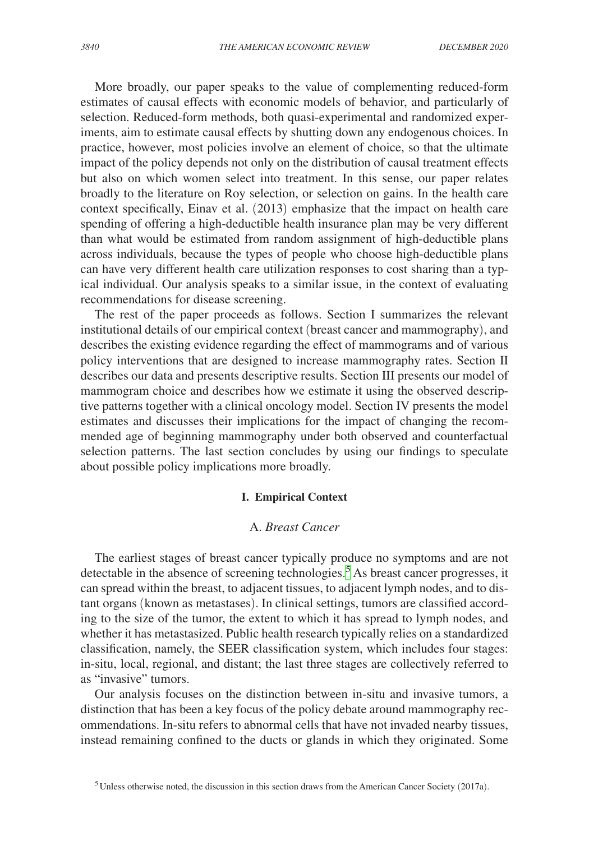More broadly, our paper speaks to the value of complementing reduced-form estimates of causal effects with economic models of behavior, and particularly of selection. Reduced-form methods, both quasi-experimental and randomized experiments, aim to estimate causal effects by shutting down any endogenous choices. In practice, however, most policies involve an element of choice, so that the ultimate impact of the policy depends not only on the distribution of causal treatment effects but also on which women select into treatment. In this sense, our paper relates broadly to the literature on Roy selection, or selection on gains. In the health care context specifically, Einav et al. (2013) emphasize that the impact on health care spending of offering a high-deductible health insurance plan may be very different than what would be estimated from random assignment of high-deductible plans across individuals, because the types of people who choose high-deductible plans can have very different health care utilization responses to cost sharing than a typical individual. Our analysis speaks to a similar issue, in the context of evaluating recommendations for disease screening.

The rest of the paper proceeds as follows. Section I summarizes the relevant institutional details of our empirical context (breast cancer and mammography), and describes the existing evidence regarding the effect of mammograms and of various policy interventions that are designed to increase mammography rates. Section II describes our data and presents descriptive results. Section III presents our model of mammogram choice and describes how we estimate it using the observed descriptive patterns together with a clinical oncology model. Section IV presents the model estimates and discusses their implications for the impact of changing the recommended age of beginning mammography under both observed and counterfactual selection patterns. The last section concludes by using our findings to speculate about possible policy implications more broadly.

# **I. Empirical Context**

# A. *Breast Cancer*

The earliest stages of breast cancer typically produce no symptoms and are not detectable in the absence of screening technologies.<sup>[5](#page-4-0)</sup> As breast cancer progresses, it can spread within the breast, to adjacent tissues, to adjacent lymph nodes, and to distant organs (known as metastases). In clinical settings, tumors are classified according to the size of the tumor, the extent to which it has spread to lymph nodes, and whether it has metastasized. Public health research typically relies on a standardized classification, namely, the SEER classification system, which includes four stages: in-situ, local, regional, and distant; the last three stages are collectively referred to as "invasive" tumors.

Our analysis focuses on the distinction between in-situ and invasive tumors, a distinction that has been a key focus of the policy debate around mammography recommendations. In-situ refers to abnormal cells that have not invaded nearby tissues, instead remaining confined to the ducts or glands in which they originated. Some

<span id="page-4-0"></span><sup>5</sup>Unless otherwise noted, the discussion in this section draws from the American Cancer Society (2017a).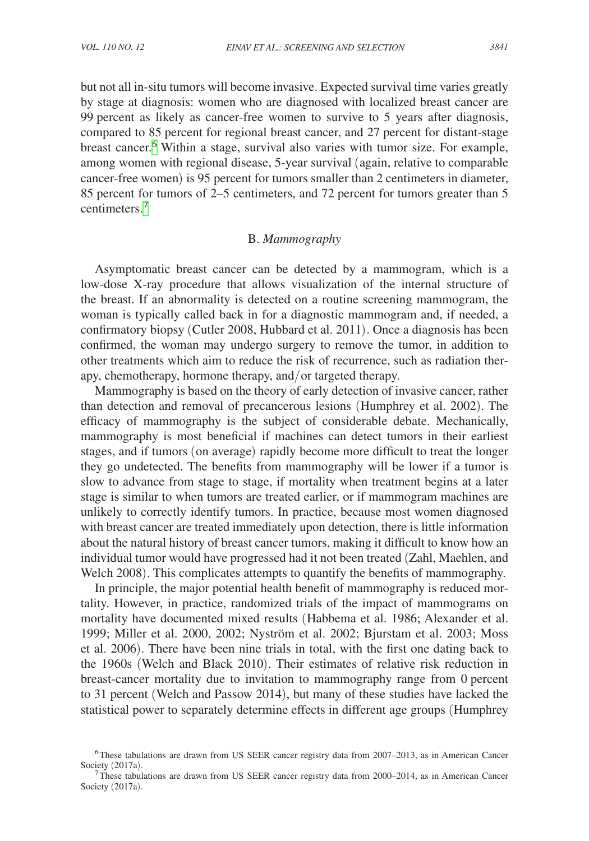but not all in-situ tumors will become invasive. Expected survival time varies greatly by stage at diagnosis: women who are diagnosed with localized breast cancer are 99 percent as likely as cancer-free women to survive to 5 years after diagnosis, compared to 85 percent for regional breast cancer, and 27 percent for distant-stage breast cancer.<sup>[6](#page-5-0)</sup> Within a stage, survival also varies with tumor size. For example, among women with regional disease, 5-year survival (again, relative to comparable cancer-free women) is 95 percent for tumors smaller than 2 centimeters in diameter, 85 percent for tumors of 2–5 centimeters, and 72 percent for tumors greater than 5 centimeters[.7](#page-5-1)

## B. *Mammography*

Asymptomatic breast cancer can be detected by a mammogram, which is a low-dose X-ray procedure that allows visualization of the internal structure of the breast. If an abnormality is detected on a routine screening mammogram, the woman is typically called back in for a diagnostic mammogram and, if needed, a confirmatory biopsy (Cutler 2008, Hubbard et al. 2011). Once a diagnosis has been confirmed, the woman may undergo surgery to remove the tumor, in addition to other treatments which aim to reduce the risk of recurrence, such as radiation therapy, chemotherapy, hormone therapy, and/or targeted therapy.

Mammography is based on the theory of early detection of invasive cancer, rather than detection and removal of precancerous lesions (Humphrey et al. 2002). The efficacy of mammography is the subject of considerable debate. Mechanically, mammography is most beneficial if machines can detect tumors in their earliest stages, and if tumors (on average) rapidly become more difficult to treat the longer they go undetected. The benefits from mammography will be lower if a tumor is slow to advance from stage to stage, if mortality when treatment begins at a later stage is similar to when tumors are treated earlier, or if mammogram machines are unlikely to correctly identify tumors. In practice, because most women diagnosed with breast cancer are treated immediately upon detection, there is little information about the natural history of breast cancer tumors, making it difficult to know how an individual tumor would have progressed had it not been treated (Zahl, Maehlen, and Welch 2008). This complicates attempts to quantify the benefits of mammography.

In principle, the major potential health benefit of mammography is reduced mortality. However, in practice, randomized trials of the impact of mammograms on mortality have documented mixed results (Habbema et al. 1986; Alexander et al. 1999; Miller et al. 2000, 2002; Nyström et al. 2002; Bjurstam et al. 2003; Moss et al. 2006). There have been nine trials in total, with the first one dating back to the 1960s (Welch and Black 2010). Their estimates of relative risk reduction in breast-cancer mortality due to invitation to mammography range from 0 percent to 31 percent (Welch and Passow 2014), but many of these studies have lacked the statistical power to separately determine effects in different age groups (Humphrey

<span id="page-5-0"></span><sup>6</sup>These tabulations are drawn from US SEER cancer registry data from 2007–2013, as in American Cancer Society (2017a).<br><sup>7</sup>These tabulations are drawn from US SEER cancer registry data from 2000–2014, as in American Cancer

<span id="page-5-1"></span>Society (2017a).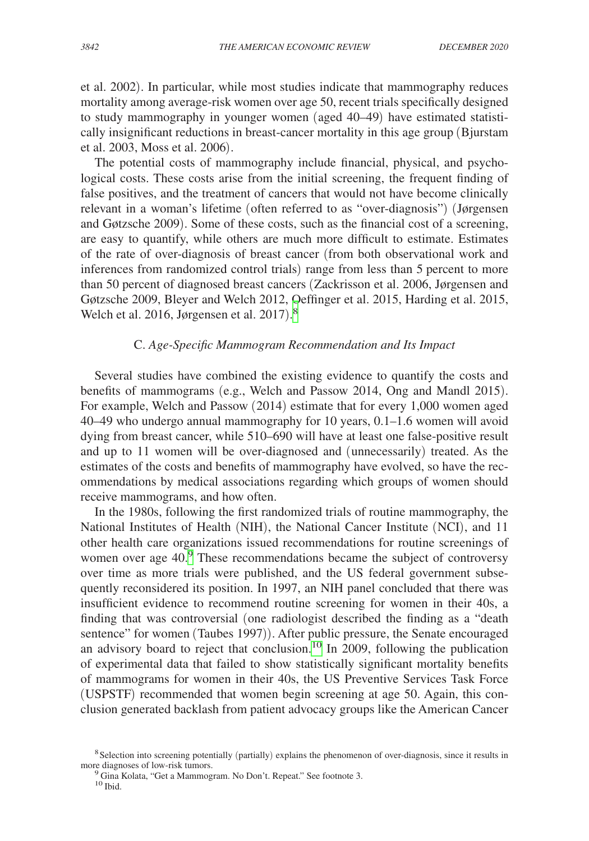et al. 2002). In particular, while most studies indicate that mammography reduces mortality among average-risk women over age 50, recent trials specifically designed to study mammography in younger women (aged 40–49) have estimated statistically insignificant reductions in breast-cancer mortality in this age group (Bjurstam et al. 2003, Moss et al. 2006).

The potential costs of mammography include financial, physical, and psychological costs. These costs arise from the initial screening, the frequent finding of false positives, and the treatment of cancers that would not have become clinically relevant in a woman's lifetime (often referred to as "over-diagnosis") (Jørgensen and Gøtzsche 2009). Some of these costs, such as the financial cost of a screening, are easy to quantify, while others are much more difficult to estimate. Estimates of the rate of over-diagnosis of breast cancer (from both observational work and inferences from randomized control trials) range from less than 5 percent to more than 50 percent of diagnosed breast cancers (Zackrisson et al. 2006, Jørgensen and Gøtzsche 2009, Bleyer and Welch 2012, Oeffinger et al. 2015, Harding et al. 2015, Welch et al. 2016, Jørgensen et al. 2017).<sup>[8](#page-6-0)</sup>

# C. *Age-Specific Mammogram Recommendation and Its Impact*

Several studies have combined the existing evidence to quantify the costs and benefits of mammograms (e.g., Welch and Passow 2014, Ong and Mandl 2015). For example, Welch and Passow (2014) estimate that for every 1,000 women aged 40–49 who undergo annual mammography for 10 years, 0.1–1.6 women will avoid dying from breast cancer, while 510–690 will have at least one false-positive result and up to 11 women will be over-diagnosed and (unnecessarily) treated. As the estimates of the costs and benefits of mammography have evolved, so have the recommendations by medical associations regarding which groups of women should receive mammograms, and how often.

In the 1980s, following the first randomized trials of routine mammography, the National Institutes of Health (NIH), the National Cancer Institute (NCI), and 11 other health care organizations issued recommendations for routine screenings of women over age  $40.9^{\circ}$  $40.9^{\circ}$  $40.9^{\circ}$  These recommendations became the subject of controversy over time as more trials were published, and the US federal government subsequently reconsidered its position. In 1997, an NIH panel concluded that there was insufficient evidence to recommend routine screening for women in their 40s, a finding that was controversial (one radiologist described the finding as a "death sentence" for women (Taubes 1997)). After public pressure, the Senate encouraged an advisory board to reject that conclusion.[10](#page-6-2) In 2009, following the publication of experimental data that failed to show statistically significant mortality benefits of mammograms for women in their 40s, the US Preventive Services Task Force (USPSTF) recommended that women begin screening at age 50. Again, this conclusion generated backlash from patient advocacy groups like the American Cancer

<span id="page-6-0"></span><sup>&</sup>lt;sup>8</sup>Selection into screening potentially (partially) explains the phenomenon of over-diagnosis, since it results in more diagnoses of low-risk tumors.

<span id="page-6-2"></span><span id="page-6-1"></span><sup>&</sup>lt;sup>9</sup> Gina Kolata, "Get a Mammogram. No Don't. Repeat." See footnote 3.  $10$  Ibid.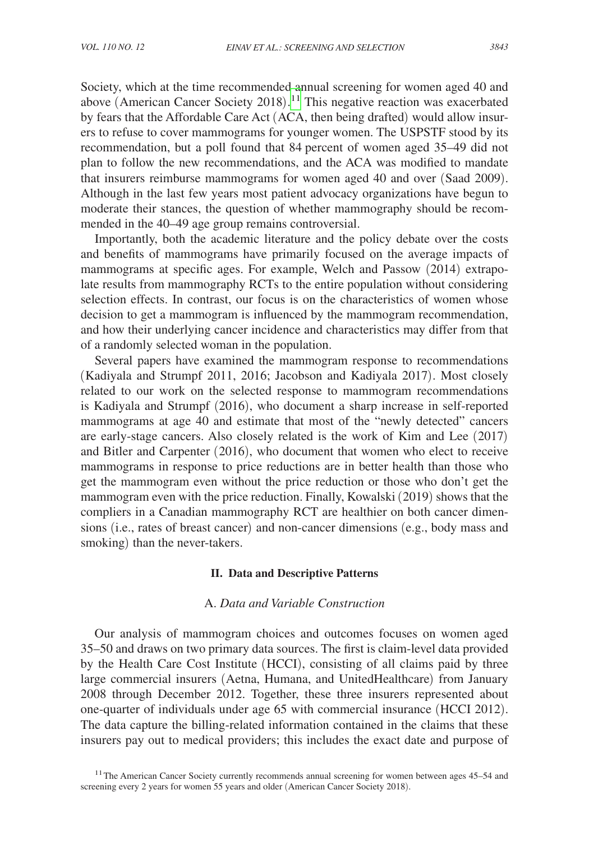Society, which at the time recommended annual screening for women aged 40 and above (American Cancer Society 2018). [11](#page-7-0) This negative reaction was exacerbated by fears that the Affordable Care Act (ACA, then being drafted) would allow insurers to refuse to cover mammograms for younger women. The USPSTF stood by its recommendation, but a poll found that 84 percent of women aged 35–49 did not plan to follow the new recommendations, and the ACA was modified to mandate that insurers reimburse mammograms for women aged 40 and over (Saad 2009). Although in the last few years most patient advocacy organizations have begun to moderate their stances, the question of whether mammography should be recommended in the 40–49 age group remains controversial.

Importantly, both the academic literature and the policy debate over the costs and benefits of mammograms have primarily focused on the average impacts of mammograms at specific ages. For example, Welch and Passow (2014) extrapolate results from mammography RCTs to the entire population without considering selection effects. In contrast, our focus is on the characteristics of women whose decision to get a mammogram is influenced by the mammogram recommendation, and how their underlying cancer incidence and characteristics may differ from that of a randomly selected woman in the population.

Several papers have examined the mammogram response to recommendations (Kadiyala and Strumpf 2011, 2016; Jacobson and Kadiyala 2017). Most closely related to our work on the selected response to mammogram recommendations is Kadiyala and Strumpf (2016), who document a sharp increase in self-reported mammograms at age 40 and estimate that most of the "newly detected" cancers are early-stage cancers. Also closely related is the work of Kim and Lee (2017) and Bitler and Carpenter (2016), who document that women who elect to receive mammograms in response to price reductions are in better health than those who get the mammogram even without the price reduction or those who don't get the mammogram even with the price reduction. Finally, Kowalski (2019) shows that the compliers in a Canadian mammography RCT are healthier on both cancer dimensions (i.e., rates of breast cancer) and non-cancer dimensions (e.g., body mass and smoking) than the never-takers.

#### **II. Data and Descriptive Patterns**

## A. *Data and Variable Construction*

Our analysis of mammogram choices and outcomes focuses on women aged 35–50 and draws on two primary data sources. The first is claim-level data provided by the Health Care Cost Institute (HCCI), consisting of all claims paid by three large commercial insurers (Aetna, Humana, and UnitedHealthcare) from January 2008 through December 2012. Together, these three insurers represented about one-quarter of individuals under age 65 with commercial insurance (HCCI 2012). The data capture the billing-related information contained in the claims that these insurers pay out to medical providers; this includes the exact date and purpose of

<span id="page-7-0"></span><sup>&</sup>lt;sup>11</sup> The American Cancer Society currently recommends annual screening for women between ages 45–54 and screening every 2 years for women 55 years and older (American Cancer Society 2018).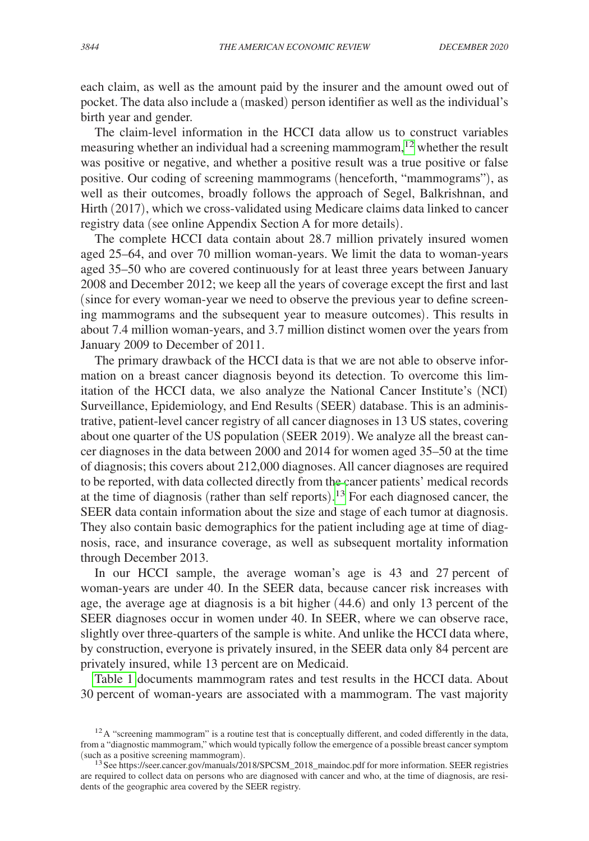each claim, as well as the amount paid by the insurer and the amount owed out of pocket. The data also include a (masked) person identifier as well as the individual's birth year and gender.

The claim-level information in the HCCI data allow us to construct variables measuring whether an individual had a screening mammogram,  $12$  whether the result was positive or negative, and whether a positive result was a true positive or false positive. Our coding of screening mammograms (henceforth, "mammograms"), as well as their outcomes, broadly follows the approach of Segel, Balkrishnan, and Hirth (2017), which we cross-validated using Medicare claims data linked to cancer registry data (see online Appendix Section A for more details).

The complete HCCI data contain about 28.7 million privately insured women aged 25–64, and over 70 million woman-years. We limit the data to woman-years aged 35–50 who are covered continuously for at least three years between January 2008 and December 2012; we keep all the years of coverage except the first and last (since for every woman-year we need to observe the previous year to define screening mammograms and the subsequent year to measure outcomes). This results in about 7.4 million woman-years, and 3.7 million distinct women over the years from January 2009 to December of 2011.

The primary drawback of the HCCI data is that we are not able to observe information on a breast cancer diagnosis beyond its detection. To overcome this limitation of the HCCI data, we also analyze the National Cancer Institute's (NCI) Surveillance, Epidemiology, and End Results (SEER) database. This is an administrative, patient-level cancer registry of all cancer diagnoses in 13 US states, covering about one quarter of the US population (SEER 2019). We analyze all the breast cancer diagnoses in the data between 2000 and 2014 for women aged 35–50 at the time of diagnosis; this covers about 212,000 diagnoses. All cancer diagnoses are required to be reported, with data collected directly from the cancer patients' medical records at the time of diagnosis (rather than self reports). [13](#page-8-1) For each diagnosed cancer, the SEER data contain information about the size and stage of each tumor at diagnosis. They also contain basic demographics for the patient including age at time of diagnosis, race, and insurance coverage, as well as subsequent mortality information through December 2013.

In our HCCI sample, the average woman's age is 43 and 27 percent of woman-years are under 40. In the SEER data, because cancer risk increases with age, the average age at diagnosis is a bit higher (44.6) and only 13 percent of the SEER diagnoses occur in women under 40. In SEER, where we can observe race, slightly over three-quarters of the sample is white. And unlike the HCCI data where, by construction, everyone is privately insured, in the SEER data only 84 percent are privately insured, while 13 percent are on Medicaid.

[Table 1](#page-9-0) documents mammogram rates and test results in the HCCI data. About 30 percent of woman-years are associated with a mammogram. The vast majority

<span id="page-8-0"></span> $12A$  "screening mammogram" is a routine test that is conceptually different, and coded differently in the data, from a "diagnostic mammogram," which would typically follow the emergence of a possible breast cancer symptom

<span id="page-8-1"></span><sup>&</sup>lt;sup>13</sup>See [https://seer.cancer.gov/manuals/2018/SPCSM\\_2018\\_maindoc.pdf](https://seer.cancer.gov/manuals/2018/SPCSM_2018_maindoc.pdf) for more information. SEER registries are required to collect data on persons who are diagnosed with cancer and who, at the time of diagnosis, are residents of the geographic area covered by the SEER registry.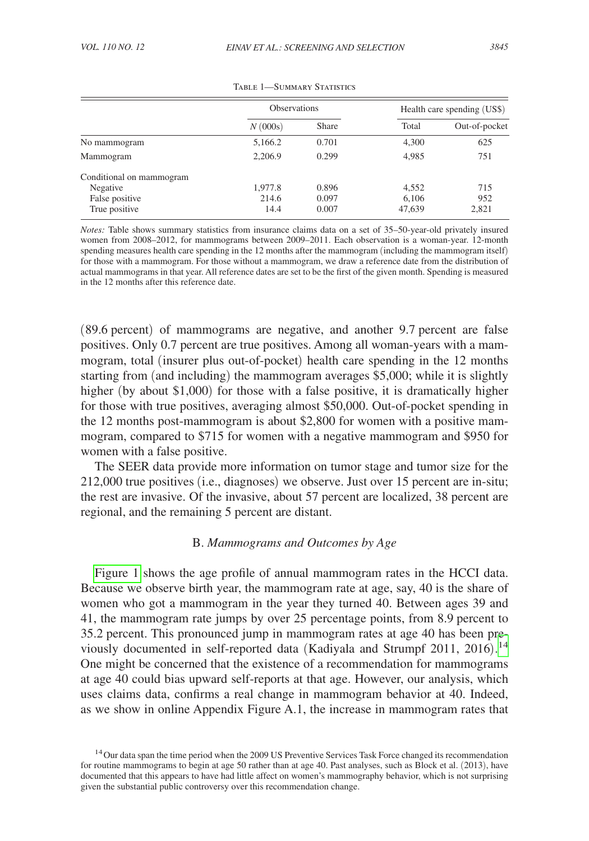<span id="page-9-0"></span>

|                          | <b>Observations</b> |              | Health care spending (US\$) |               |
|--------------------------|---------------------|--------------|-----------------------------|---------------|
|                          | N(000s)             | <b>Share</b> | Total                       | Out-of-pocket |
| No mammogram             | 5,166.2             | 0.701        | 4,300                       | 625           |
| Mammogram                | 2,206.9             | 0.299        | 4,985                       | 751           |
| Conditional on mammogram |                     |              |                             |               |
| Negative                 | 1.977.8             | 0.896        | 4,552                       | 715           |
| False positive           | 214.6               | 0.097        | 6,106                       | 952           |
| True positive            | 14.4                | 0.007        | 47,639                      | 2,821         |

Table 1—Summary Statistics

*Notes:* Table shows summary statistics from insurance claims data on a set of 35–50-year-old privately insured women from 2008–2012, for mammograms between 2009–2011. Each observation is a woman-year. 12-month spending measures health care spending in the 12 months after the mammogram (including the mammogram itself) for those with a mammogram. For those without a mammogram, we draw a reference date from the distribution of actual mammograms in that year. All reference dates are set to be the first of the given month. Spending is measured in the 12 months after this reference date.

(89.6 percent) of mammograms are negative, and another 9.7 percent are false positives. Only 0.7 percent are true positives. Among all woman-years with a mammogram, total (insurer plus out-of-pocket) health care spending in the 12 months starting from (and including) the mammogram averages \$5,000; while it is slightly higher (by about \$1,000) for those with a false positive, it is dramatically higher for those with true positives, averaging almost \$50,000. Out-of-pocket spending in the 12 months post-mammogram is about \$2,800 for women with a positive mammogram, compared to \$715 for women with a negative mammogram and \$950 for women with a false positive.

The SEER data provide more information on tumor stage and tumor size for the 212,000 true positives (i.e., diagnoses) we observe. Just over 15 percent are in-situ; the rest are invasive. Of the invasive, about 57 percent are localized, 38 percent are regional, and the remaining 5 percent are distant.

## B. *Mammograms and Outcomes by Age*

[Figure 1](#page-10-0) shows the age profile of annual mammogram rates in the HCCI data. Because we observe birth year, the mammogram rate at age, say, 40 is the share of women who got a mammogram in the year they turned 40. Between ages 39 and 41, the mammogram rate jumps by over 25 percentage points, from 8.9 percent to 35.2 percent. This pronounced jump in mammogram rates at age 40 has been previously documented in self-reported data (Kadiyala and Strumpf 2011, 2016). [14](#page-9-1) One might be concerned that the existence of a recommendation for mammograms at age 40 could bias upward self-reports at that age. However, our analysis, which uses claims data, confirms a real change in mammogram behavior at 40. Indeed, as we show in online Appendix Figure A.1, the increase in mammogram rates that

<span id="page-9-1"></span><sup>&</sup>lt;sup>14</sup>Our data span the time period when the 2009 US Preventive Services Task Force changed its recommendation for routine mammograms to begin at age 50 rather than at age 40. Past analyses, such as Block et al. (2013), have documented that this appears to have had little affect on women's mammography behavior, which is not surprising given the substantial public controversy over this recommendation change.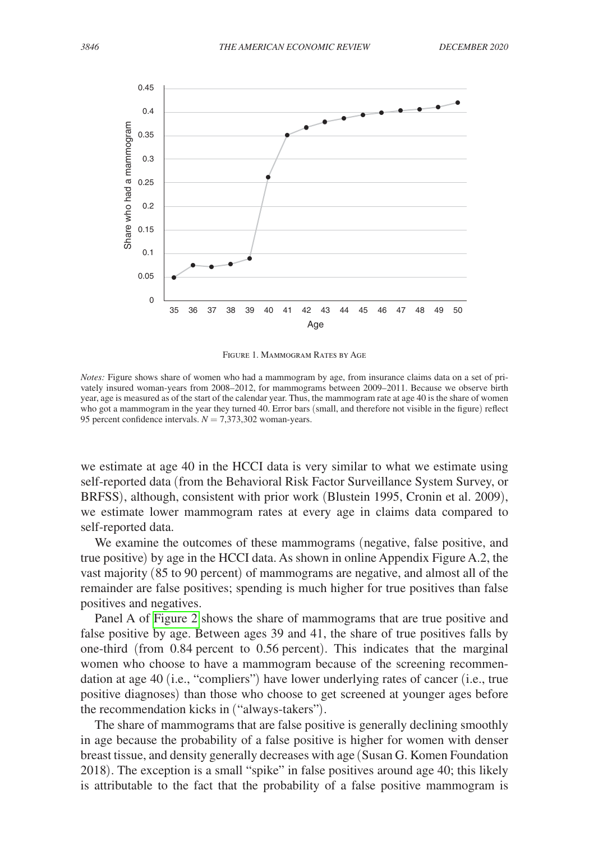<span id="page-10-0"></span>

Figure 1. Mammogram Rates by Age

*Notes:* Figure shows share of women who had a mammogram by age, from insurance claims data on a set of privately insured woman-years from 2008–2012, for mammograms between 2009–2011. Because we observe birth year, age is measured as of the start of the calendar year. Thus, the mammogram rate at age 40 is the share of women who got a mammogram in the year they turned 40. Error bars (small, and therefore not visible in the figure) reflect 95 percent confidence intervals. *N* = 7,373,302 woman-years.

we estimate at age 40 in the HCCI data is very similar to what we estimate using self-reported data (from the Behavioral Risk Factor Surveillance System Survey, or BRFSS), although, consistent with prior work (Blustein 1995, Cronin et al. 2009), we estimate lower mammogram rates at every age in claims data compared to self-reported data.

We examine the outcomes of these mammograms (negative, false positive, and true positive) by age in the HCCI data. As shown in online Appendix Figure A.2, the vast majority (85 to 90 percent) of mammograms are negative, and almost all of the remainder are false positives; spending is much higher for true positives than false positives and negatives.

Panel A of [Figure 2](#page-11-0) shows the share of mammograms that are true positive and false positive by age. Between ages 39 and 41, the share of true positives falls by one-third (from 0.84 percent to 0.56 percent). This indicates that the marginal women who choose to have a mammogram because of the screening recommendation at age 40 (i.e., "compliers") have lower underlying rates of cancer (i.e., true positive diagnoses) than those who choose to get screened at younger ages before the recommendation kicks in ("always-takers").

The share of mammograms that are false positive is generally declining smoothly in age because the probability of a false positive is higher for women with denser breast tissue, and density generally decreases with age (Susan G. Komen Foundation 2018). The exception is a small "spike" in false positives around age 40; this likely is attributable to the fact that the probability of a false positive mammogram is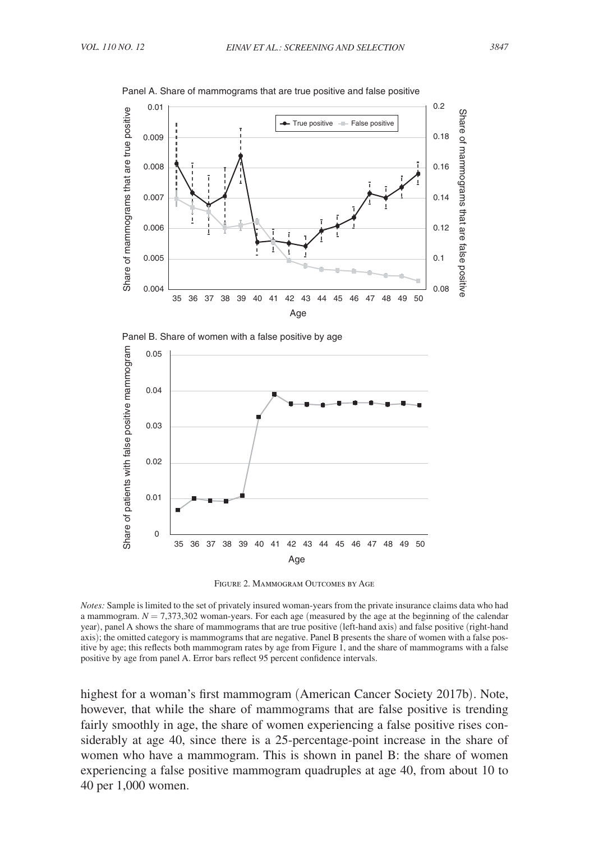

<span id="page-11-0"></span>Panel A. Share of mammograms that are true positive and false positive





Figure 2. Mammogram Outcomes by Age

*Notes:* Sample is limited to the set of privately insured woman-years from the private insurance claims data who had a mammogram.  $N = 7,373,302$  woman-years. For each age (measured by the age at the beginning of the calendar year), panel A shows the share of mammograms that are true positive (left-hand axis) and false positive (right-hand axis); the omitted category is mammograms that are negative. Panel B presents the share of women with a false positive by age; this reflects both mammogram rates by age from Figure 1, and the share of mammograms with a false positive by age from panel A. Error bars reflect 95 percent confidence intervals.

highest for a woman's first mammogram (American Cancer Society 2017b). Note, however, that while the share of mammograms that are false positive is trending fairly smoothly in age, the share of women experiencing a false positive rises considerably at age 40, since there is a 25-percentage-point increase in the share of women who have a mammogram. This is shown in panel B: the share of women experiencing a false positive mammogram quadruples at age 40, from about 10 to 40 per 1,000 women.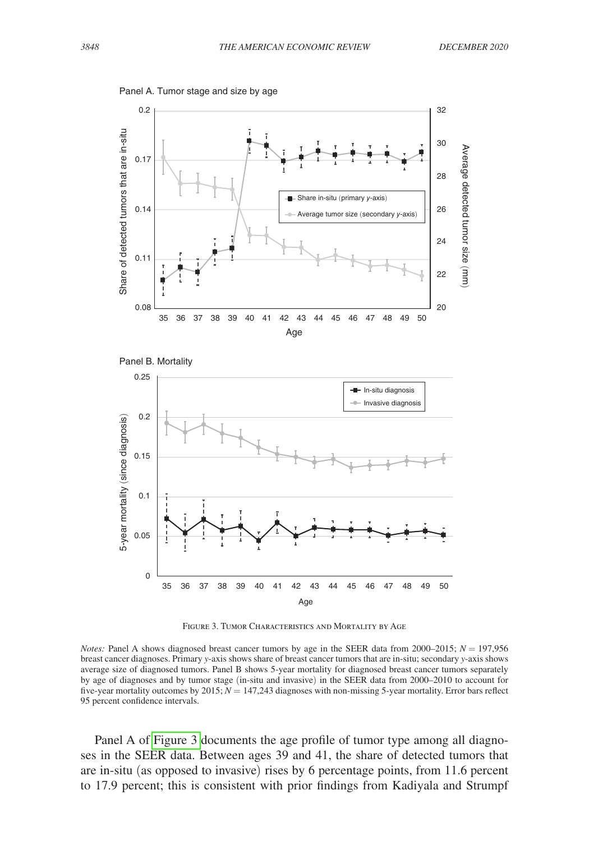

Panel B. Mortality 0.25 - In-situ diagnosis Invasive diagnosis 0.2 5-year mortality (since diagnosis) 5-year mortality (since diagnosis) 0.15 0.1 0.05 0 35 36 37 38 39 40 41 42 43 44 45 46 47 48 49 50 Age

Figure 3. Tumor Characteristics and Mortality by Age

*Notes:* Panel A shows diagnosed breast cancer tumors by age in the SEER data from 2000–2015;  $N = 197,956$ breast cancer diagnoses. Primary *y*-axis shows share of breast cancer tumors that are in-situ; secondary *y*-axis shows average size of diagnosed tumors. Panel B shows 5-year mortality for diagnosed breast cancer tumors separately by age of diagnoses and by tumor stage (in-situ and invasive) in the SEER data from 2000–2010 to account for five-year mortality outcomes by 2015; *N* = 147,243 diagnoses with non-missing 5-year mortality. Error bars reflect 95 percent confidence intervals.

Panel A of Figure 3 documents the age profile of tumor type among all diagnoses in the SEER data. Between ages 39 and 41, the share of detected tumors that are in-situ (as opposed to invasive) rises by 6 percentage points, from 11.6 percent to 17.9 percent; this is consistent with prior findings from Kadiyala and Strumpf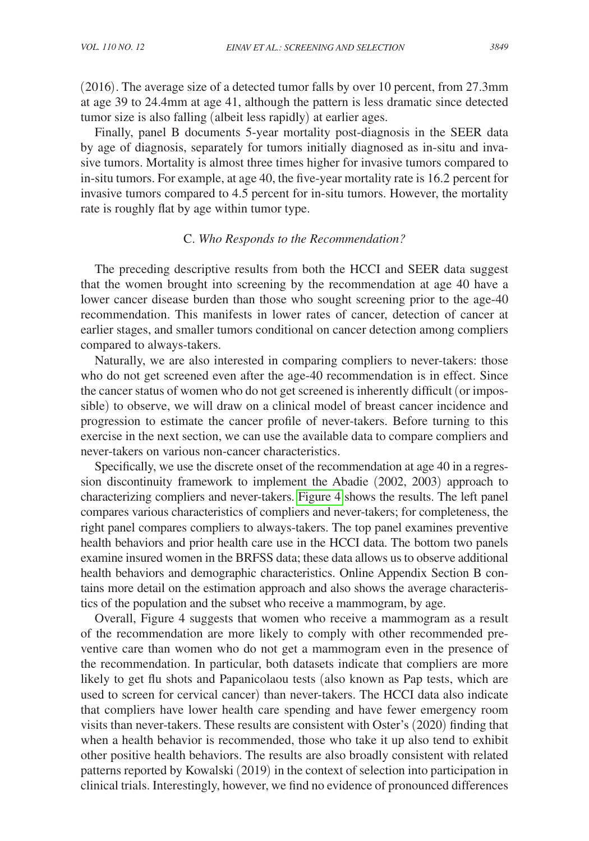(2016). The average size of a detected tumor falls by over 10 percent, from 27.3mm at age 39 to 24.4mm at age 41, although the pattern is less dramatic since detected tumor size is also falling (albeit less rapidly) at earlier ages.

Finally, panel B documents 5-year mortality post-diagnosis in the SEER data by age of diagnosis, separately for tumors initially diagnosed as in-situ and invasive tumors. Mortality is almost three times higher for invasive tumors compared to in-situ tumors. For example, at age 40, the five-year mortality rate is 16.2 percent for invasive tumors compared to 4.5 percent for in-situ tumors. However, the mortality rate is roughly flat by age within tumor type.

## C. *Who Responds to the Recommendation?*

The preceding descriptive results from both the HCCI and SEER data suggest that the women brought into screening by the recommendation at age 40 have a lower cancer disease burden than those who sought screening prior to the age-40 recommendation. This manifests in lower rates of cancer, detection of cancer at earlier stages, and smaller tumors conditional on cancer detection among compliers compared to always-takers.

Naturally, we are also interested in comparing compliers to never-takers: those who do not get screened even after the age-40 recommendation is in effect. Since the cancer status of women who do not get screened is inherently difficult (or impossible) to observe, we will draw on a clinical model of breast cancer incidence and progression to estimate the cancer profile of never-takers. Before turning to this exercise in the next section, we can use the available data to compare compliers and never-takers on various non-cancer characteristics.

Specifically, we use the discrete onset of the recommendation at age 40 in a regression discontinuity framework to implement the Abadie (2002, 2003) approach to characterizing compliers and never-takers. [Figure 4](#page-14-0) shows the results. The left panel compares various characteristics of compliers and never-takers; for completeness, the right panel compares compliers to always-takers. The top panel examines preventive health behaviors and prior health care use in the HCCI data. The bottom two panels examine insured women in the BRFSS data; these data allows us to observe additional health behaviors and demographic characteristics. Online Appendix Section B contains more detail on the estimation approach and also shows the average characteristics of the population and the subset who receive a mammogram, by age.

Overall, Figure 4 suggests that women who receive a mammogram as a result of the recommendation are more likely to comply with other recommended preventive care than women who do not get a mammogram even in the presence of the recommendation. In particular, both datasets indicate that compliers are more likely to get flu shots and Papanicolaou tests (also known as Pap tests, which are used to screen for cervical cancer) than never-takers. The HCCI data also indicate that compliers have lower health care spending and have fewer emergency room visits than never-takers. These results are consistent with Oster's (2020) finding that when a health behavior is recommended, those who take it up also tend to exhibit other positive health behaviors. The results are also broadly consistent with related patterns reported by Kowalski (2019) in the context of selection into participation in clinical trials. Interestingly, however, we find no evidence of pronounced differences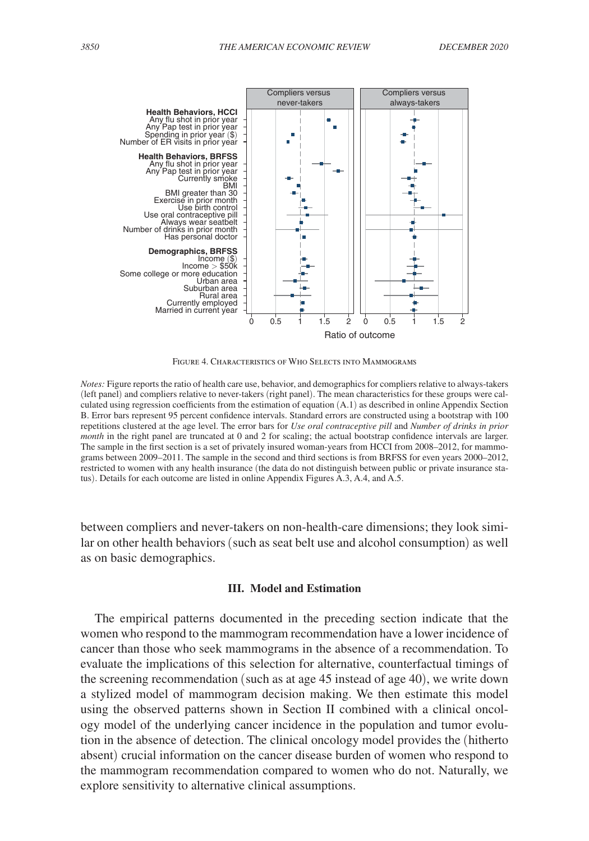<span id="page-14-0"></span>

Figure 4. Characteristics of Who Selects into Mammograms

*Notes:* Figure reports the ratio of health care use, behavior, and demographics for compliers relative to always-takers (left panel) and compliers relative to never-takers (right panel). The mean characteristics for these groups were calculated using regression coefficients from the estimation of equation (A.1) as described in online Appendix Section B. Error bars represent 95 percent confidence intervals. Standard errors are constructed using a bootstrap with 100 repetitions clustered at the age level. The error bars for *Use oral contraceptive pill* and *Number of drinks in prior month* in the right panel are truncated at 0 and 2 for scaling; the actual bootstrap confidence intervals are larger. The sample in the first section is a set of privately insured woman-years from HCCI from 2008–2012, for mammograms between 2009–2011. The sample in the second and third sections is from BRFSS for even years 2000–2012, restricted to women with any health insurance (the data do not distinguish between public or private insurance status). Details for each outcome are listed in online Appendix Figures A.3, A.4, and A.5.

between compliers and never-takers on non-health-care dimensions; they look similar on other health behaviors (such as seat belt use and alcohol consumption) as well as on basic demographics.

#### **III. Model and Estimation**

The empirical patterns documented in the preceding section indicate that the women who respond to the mammogram recommendation have a lower incidence of cancer than those who seek mammograms in the absence of a recommendation. To evaluate the implications of this selection for alternative, counterfactual timings of the screening recommendation (such as at age 45 instead of age 40), we write down a stylized model of mammogram decision making. We then estimate this model using the observed patterns shown in Section II combined with a clinical oncology model of the underlying cancer incidence in the population and tumor evolution in the absence of detection. The clinical oncology model provides the (hitherto absent) crucial information on the cancer disease burden of women who respond to the mammogram recommendation compared to women who do not. Naturally, we explore sensitivity to alternative clinical assumptions.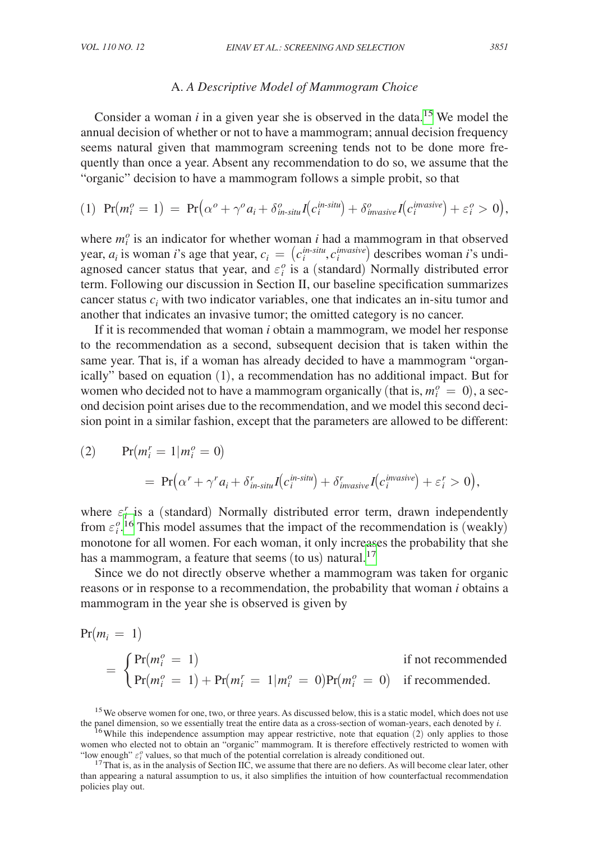# A. *A Descriptive Model of Mammogram Choice*

Consider a woman *i* in a given year she is observed in the data.<sup>15</sup> We model the annual decision of whether or not to have a mammogram; annual decision frequency seems natural given that mammogram screening tends not to be done more frequently than once a year. Absent any recommendation to do so, we assume that the "organic" decision to have a mammogram follows a simple probit, so that

$$
(1) \ \Pr(m_i^o = 1) = \Pr(\alpha^o + \gamma^o a_i + \delta_{in-situ}^o I(c_i^{in-situ}) + \delta_{invasive}^o I(c_i^{invasive}) + \varepsilon_i^o > 0),
$$

where  $m_i^o$  is an indicator for whether woman *i* had a mammogram in that observed year,  $a_i$  is woman *i*'s age that year,  $c_i = (c_i^{in-situ}, c_i^{invasive})$  describes woman *i*'s undiagnosed cancer status that year, and  $\varepsilon_i^o$  is a (standard) Normally distributed error term. Following our discussion in Section II, our baseline specification summarizes cancer status  $c_i$  with two indicator variables, one that indicates an in-situ tumor and another that indicates an invasive tumor; the omitted category is no cancer.

If it is recommended that woman *i* obtain a mammogram, we model her response to the recommendation as a second, subsequent decision that is taken within the same year. That is, if a woman has already decided to have a mammogram "organically" based on equation (1), a recommendation has no additional impact. But for women who decided not to have a mammogram organically (that is,  $m_i^o = 0$ ), a second decision point arises due to the recommendation, and we model this second decision point in a similar fashion, except that the parameters are allowed to be different:

(2) 
$$
\Pr(m_i^r = 1 | m_i^o = 0)
$$

$$
= \Pr(\alpha^r + \gamma^r a_i + \delta_{in-situ}^r I(c_i^{in-situ}) + \delta_{invasive}^r I(c_i^{invasive}) + \varepsilon_i^r > 0),
$$

where  $\varepsilon_i^r$  is a (standard) Normally distributed error term, drawn independently from  $\varepsilon_i^{\rho}$ <sup>16</sup> This model assumes that the impact of the recommendation is (weakly) monotone for all women. For each woman, it only increases the probability that she has a mammogram, a feature that seems (to us) natural.<sup>17</sup>

Since we do not directly observe whether a mammogram was taken for organic reasons or in response to a recommendation, the probability that woman *i* obtains a mammogram in the year she is observed is given by

$$
Pr(m_i = 1)
$$
  
= 
$$
\begin{cases} Pr(m_i^o = 1) & \text{if not recommended} \\ Pr(m_i^o = 1) + Pr(m_i^r = 1 | m_i^o = 0) Pr(m_i^o = 0) & \text{if recommended.} \end{cases}
$$

<span id="page-15-0"></span><sup>15</sup>We observe women for one, two, or three years. As discussed below, this is a static model, which does not use the panel dimension, so we essentially treat the entire data as a cross-section of woman-years, each denoted

<span id="page-15-1"></span><sup>&</sup>lt;sup>16</sup>While this independence assumption may appear restrictive, note that equation (2) only applies to those women who elected not to obtain an "organic" mammogram. It is therefore effectively restricted to women with "low enough" ε*<sup>i</sup> o*

<span id="page-15-2"></span><sup>&</sup>lt;sup>17</sup>That is, as in the analysis of Section IIC, we assume that there are no defiers. As will become clear later, other than appearing a natural assumption to us, it also simplifies the intuition of how counterfactual recommendation policies play out.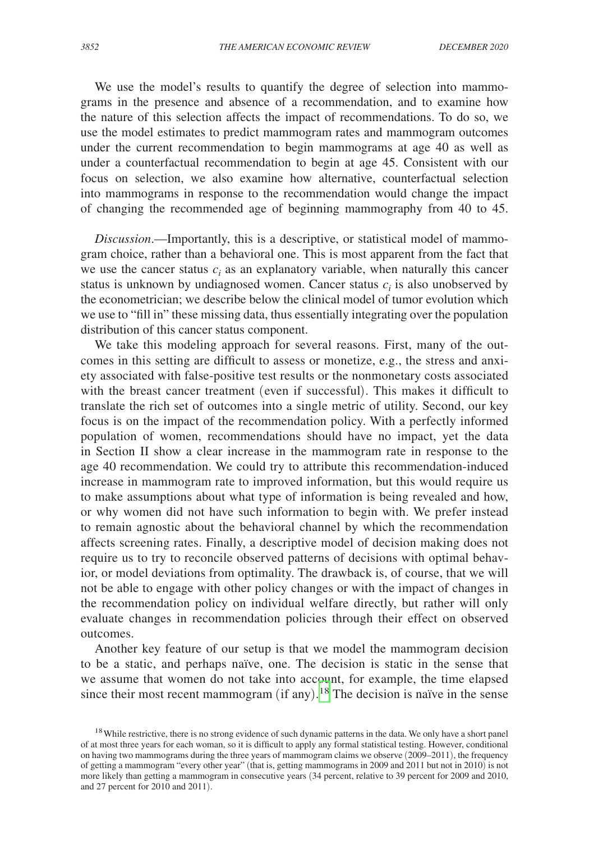We use the model's results to quantify the degree of selection into mammograms in the presence and absence of a recommendation, and to examine how the nature of this selection affects the impact of recommendations. To do so, we use the model estimates to predict mammogram rates and mammogram outcomes under the current recommendation to begin mammograms at age 40 as well as under a counterfactual recommendation to begin at age 45. Consistent with our focus on selection, we also examine how alternative, counterfactual selection into mammograms in response to the recommendation would change the impact of changing the recommended age of beginning mammography from 40 to 45.

*Discussion*.—Importantly, this is a descriptive, or statistical model of mammogram choice, rather than a behavioral one. This is most apparent from the fact that we use the cancer status  $c_i$  as an explanatory variable, when naturally this cancer status is unknown by undiagnosed women. Cancer status  $c_i$  is also unobserved by the econometrician; we describe below the clinical model of tumor evolution which we use to "fill in" these missing data, thus essentially integrating over the population distribution of this cancer status component.

We take this modeling approach for several reasons. First, many of the outcomes in this setting are difficult to assess or monetize, e.g., the stress and anxiety associated with false-positive test results or the nonmonetary costs associated with the breast cancer treatment (even if successful). This makes it difficult to translate the rich set of outcomes into a single metric of utility. Second, our key focus is on the impact of the recommendation policy. With a perfectly informed population of women, recommendations should have no impact, yet the data in Section II show a clear increase in the mammogram rate in response to the age 40 recommendation. We could try to attribute this recommendation-induced increase in mammogram rate to improved information, but this would require us to make assumptions about what type of information is being revealed and how, or why women did not have such information to begin with. We prefer instead to remain agnostic about the behavioral channel by which the recommendation affects screening rates. Finally, a descriptive model of decision making does not require us to try to reconcile observed patterns of decisions with optimal behavior, or model deviations from optimality. The drawback is, of course, that we will not be able to engage with other policy changes or with the impact of changes in the recommendation policy on individual welfare directly, but rather will only evaluate changes in recommendation policies through their effect on observed outcomes.

Another key feature of our setup is that we model the mammogram decision to be a static, and perhaps naïve, one. The decision is static in the sense that we assume that women do not take into account, for example, the time elapsed since their most recent mammogram (if any). [18](#page-16-0) The decision is naïve in the sense

<span id="page-16-0"></span><sup>&</sup>lt;sup>18</sup> While restrictive, there is no strong evidence of such dynamic patterns in the data. We only have a short panel of at most three years for each woman, so it is difficult to apply any formal statistical testing. However, conditional on having two mammograms during the three years of mammogram claims we observe (2009–2011), the frequency of getting a mammogram "every other year" (that is, getting mammograms in 2009 and 2011 but not in 2010) is not more likely than getting a mammogram in consecutive years (34 percent, relative to 39 percent for 2009 and 2010, and 27 percent for 2010 and 2011).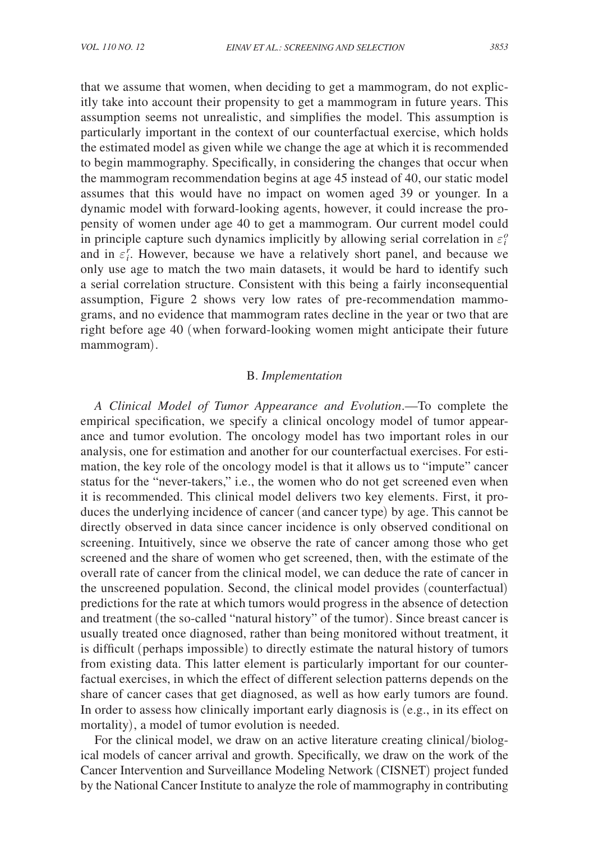that we assume that women, when deciding to get a mammogram, do not explicitly take into account their propensity to get a mammogram in future years. This assumption seems not unrealistic, and simplifies the model. This assumption is particularly important in the context of our counterfactual exercise, which holds the estimated model as given while we change the age at which it is recommended to begin mammography. Specifically, in considering the changes that occur when the mammogram recommendation begins at age 45 instead of 40, our static model assumes that this would have no impact on women aged 39 or younger. In a dynamic model with forward-looking agents, however, it could increase the propensity of women under age 40 to get a mammogram. Our current model could in principle capture such dynamics implicitly by allowing serial correlation in  $\varepsilon_i^o$ and in  $\varepsilon_i^r$ . However, because we have a relatively short panel, and because we only use age to match the two main datasets, it would be hard to identify such a serial correlation structure. Consistent with this being a fairly inconsequential assumption, Figure 2 shows very low rates of pre-recommendation mammograms, and no evidence that mammogram rates decline in the year or two that are right before age 40 (when forward-looking women might anticipate their future mammogram).

## B. *Implementation*

*A Clinical Model of Tumor Appearance and Evolution*.—To complete the empirical specification, we specify a clinical oncology model of tumor appearance and tumor evolution. The oncology model has two important roles in our analysis, one for estimation and another for our counterfactual exercises. For estimation, the key role of the oncology model is that it allows us to "impute" cancer status for the "never-takers," i.e., the women who do not get screened even when it is recommended. This clinical model delivers two key elements. First, it produces the underlying incidence of cancer (and cancer type) by age. This cannot be directly observed in data since cancer incidence is only observed conditional on screening. Intuitively, since we observe the rate of cancer among those who get screened and the share of women who get screened, then, with the estimate of the overall rate of cancer from the clinical model, we can deduce the rate of cancer in the unscreened population. Second, the clinical model provides (counterfactual) predictions for the rate at which tumors would progress in the absence of detection and treatment (the so-called "natural history" of the tumor). Since breast cancer is usually treated once diagnosed, rather than being monitored without treatment, it is difficult (perhaps impossible) to directly estimate the natural history of tumors from existing data. This latter element is particularly important for our counterfactual exercises, in which the effect of different selection patterns depends on the share of cancer cases that get diagnosed, as well as how early tumors are found. In order to assess how clinically important early diagnosis is (e.g., in its effect on mortality), a model of tumor evolution is needed.

For the clinical model, we draw on an active literature creating clinical/biological models of cancer arrival and growth. Specifically, we draw on the work of the Cancer Intervention and Surveillance Modeling Network (CISNET) project funded by the National Cancer Institute to analyze the role of mammography in contributing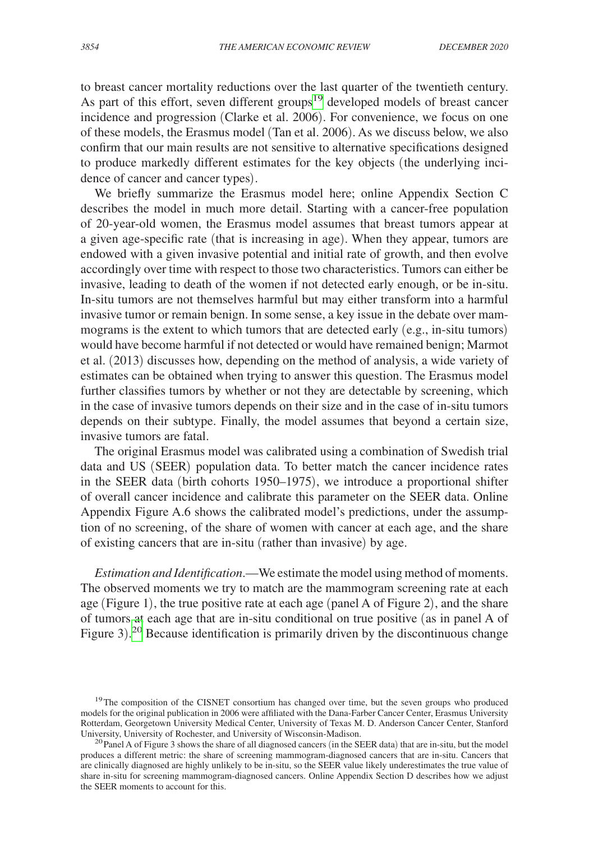to breast cancer mortality reductions over the last quarter of the twentieth century. As part of this effort, seven different groups<sup>[19](#page-18-0)</sup> developed models of breast cancer incidence and progression (Clarke et al. 2006). For convenience, we focus on one of these models, the Erasmus model (Tan et al. 2006). As we discuss below, we also confirm that our main results are not sensitive to alternative specifications designed to produce markedly different estimates for the key objects (the underlying incidence of cancer and cancer types).

We briefly summarize the Erasmus model here; online Appendix Section C describes the model in much more detail. Starting with a cancer-free population of 20-year-old women, the Erasmus model assumes that breast tumors appear at a given age-specific rate (that is increasing in age). When they appear, tumors are endowed with a given invasive potential and initial rate of growth, and then evolve accordingly over time with respect to those two characteristics. Tumors can either be invasive, leading to death of the women if not detected early enough, or be in-situ. In-situ tumors are not themselves harmful but may either transform into a harmful invasive tumor or remain benign. In some sense, a key issue in the debate over mammograms is the extent to which tumors that are detected early (e.g., in-situ tumors) would have become harmful if not detected or would have remained benign; Marmot et al. (2013) discusses how, depending on the method of analysis, a wide variety of estimates can be obtained when trying to answer this question. The Erasmus model further classifies tumors by whether or not they are detectable by screening, which in the case of invasive tumors depends on their size and in the case of in-situ tumors depends on their subtype. Finally, the model assumes that beyond a certain size, invasive tumors are fatal.

The original Erasmus model was calibrated using a combination of Swedish trial data and US (SEER) population data. To better match the cancer incidence rates in the SEER data (birth cohorts 1950–1975), we introduce a proportional shifter of overall cancer incidence and calibrate this parameter on the SEER data. Online Appendix Figure A.6 shows the calibrated model's predictions, under the assumption of no screening, of the share of women with cancer at each age, and the share of existing cancers that are in-situ (rather than invasive) by age.

*Estimation and Identification*.—We estimate the model using method of moments. The observed moments we try to match are the mammogram screening rate at each age (Figure 1), the true positive rate at each age (panel A of Figure 2), and the share of tumors at each age that are in-situ conditional on true positive (as in panel A of Figure 3).<sup>20</sup> Because identification is primarily driven by the discontinuous change

<span id="page-18-0"></span><sup>&</sup>lt;sup>19</sup>The composition of the CISNET consortium has changed over time, but the seven groups who produced models for the original publication in 2006 were affiliated with the Dana-Farber Cancer Center, Erasmus University Rotterdam, Georgetown University Medical Center, University of Texas M. D. Anderson Cancer Center, Stanford University, University of Rochester, and University of Wisconsin-Madison.<br><sup>20</sup>Panel A of Figure 3 shows the share of all diagnosed cancers (in the SEER data) that are in-situ, but the model

<span id="page-18-1"></span>produces a different metric: the share of screening mammogram-diagnosed cancers that are in-situ. Cancers that are clinically diagnosed are highly unlikely to be in-situ, so the SEER value likely underestimates the true value of share in-situ for screening mammogram-diagnosed cancers. Online Appendix Section D describes how we adjust the SEER moments to account for this.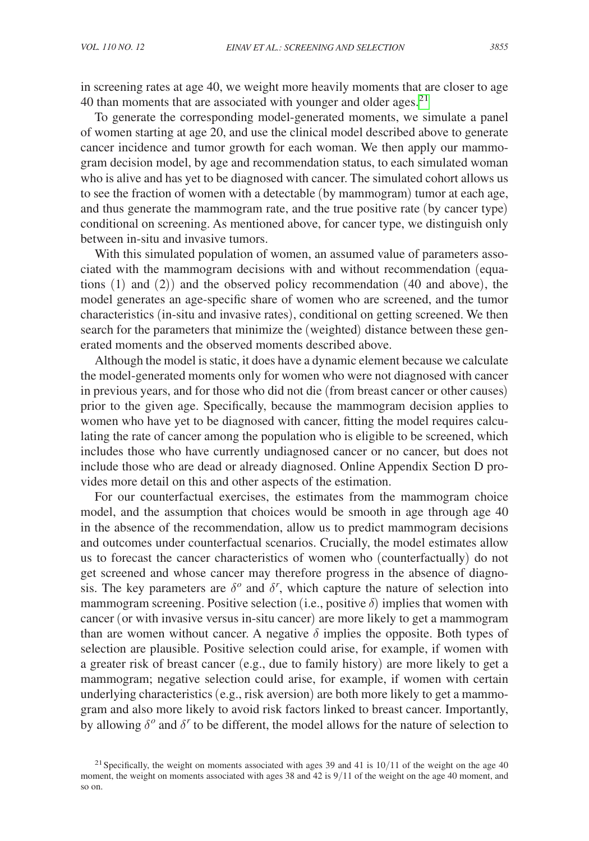in screening rates at age 40, we weight more heavily moments that are closer to age 40 than moments that are associated with younger and older ages. $2<sup>1</sup>$ 

To generate the corresponding model-generated moments, we simulate a panel of women starting at age 20, and use the clinical model described above to generate cancer incidence and tumor growth for each woman. We then apply our mammogram decision model, by age and recommendation status, to each simulated woman who is alive and has yet to be diagnosed with cancer. The simulated cohort allows us to see the fraction of women with a detectable (by mammogram) tumor at each age, and thus generate the mammogram rate, and the true positive rate (by cancer type) conditional on screening. As mentioned above, for cancer type, we distinguish only between in-situ and invasive tumors.

With this simulated population of women, an assumed value of parameters associated with the mammogram decisions with and without recommendation (equations (1) and (2)) and the observed policy recommendation (40 and above), the model generates an age-specific share of women who are screened, and the tumor characteristics (in-situ and invasive rates), conditional on getting screened. We then search for the parameters that minimize the (weighted) distance between these generated moments and the observed moments described above.

Although the model is static, it does have a dynamic element because we calculate the model-generated moments only for women who were not diagnosed with cancer in previous years, and for those who did not die (from breast cancer or other causes) prior to the given age. Specifically, because the mammogram decision applies to women who have yet to be diagnosed with cancer, fitting the model requires calculating the rate of cancer among the population who is eligible to be screened, which includes those who have currently undiagnosed cancer or no cancer, but does not include those who are dead or already diagnosed. Online Appendix Section D provides more detail on this and other aspects of the estimation.

For our counterfactual exercises, the estimates from the mammogram choice model, and the assumption that choices would be smooth in age through age 40 in the absence of the recommendation, allow us to predict mammogram decisions and outcomes under counterfactual scenarios. Crucially, the model estimates allow us to forecast the cancer characteristics of women who (counterfactually) do not get screened and whose cancer may therefore progress in the absence of diagnosis. The key parameters are  $\delta^o$  and  $\delta^r$ , which capture the nature of selection into mammogram screening. Positive selection (i.e., positive  $\delta$ ) implies that women with cancer (or with invasive versus in-situ cancer) are more likely to get a mammogram than are women without cancer. A negative  $\delta$  implies the opposite. Both types of selection are plausible. Positive selection could arise, for example, if women with a greater risk of breast cancer (e.g., due to family history) are more likely to get a mammogram; negative selection could arise, for example, if women with certain underlying characteristics (e.g., risk aversion) are both more likely to get a mammogram and also more likely to avoid risk factors linked to breast cancer. Importantly, by allowing  $\delta^o$  and  $\delta^r$  to be different, the model allows for the nature of selection to

<span id="page-19-0"></span><sup>&</sup>lt;sup>21</sup> Specifically, the weight on moments associated with ages 39 and 41 is  $10/11$  of the weight on the age 40 moment, the weight on moments associated with ages 38 and 42 is  $9/11$  of the weight on the age 40 moment, and so on.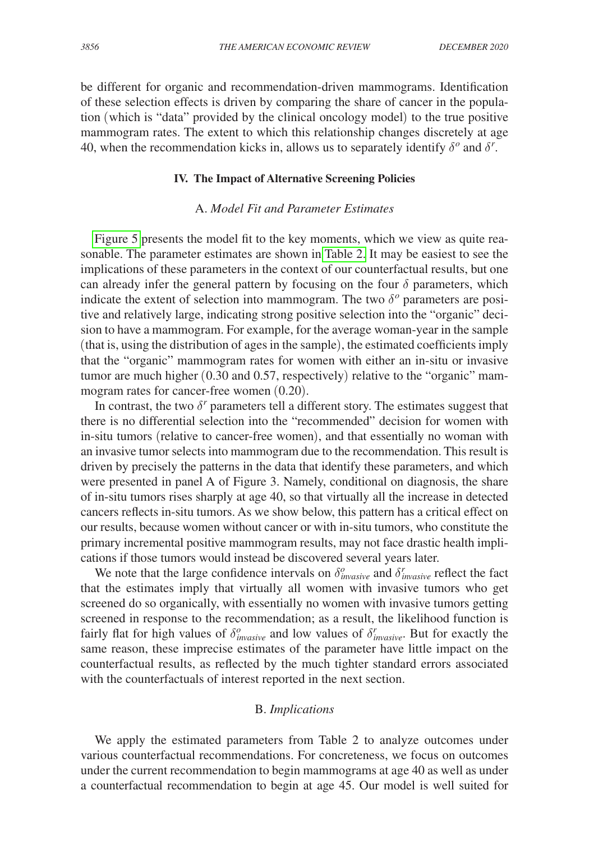be different for organic and recommendation-driven mammograms. Identification of these selection effects is driven by comparing the share of cancer in the population (which is "data" provided by the clinical oncology model) to the true positive mammogram rates. The extent to which this relationship changes discretely at age 40, when the recommendation kicks in, allows us to separately identify  $\delta^o$  and  $\delta^r$ .

#### **IV. The Impact of Alternative Screening Policies**

# A. *Model Fit and Parameter Estimates*

[Figure 5](#page-21-0) presents the model fit to the key moments, which we view as quite reasonable. The parameter estimates are shown in [Table 2.](#page-22-0) It may be easiest to see the implications of these parameters in the context of our counterfactual results, but one can already infer the general pattern by focusing on the four  $\delta$  parameters, which indicate the extent of selection into mammogram. The two  $\delta^o$  parameters are positive and relatively large, indicating strong positive selection into the "organic" decision to have a mammogram. For example, for the average woman-year in the sample (that is, using the distribution of ages in the sample), the estimated coefficients imply that the "organic" mammogram rates for women with either an in-situ or invasive tumor are much higher (0.30 and 0.57, respectively) relative to the "organic" mammogram rates for cancer-free women (0.20).

In contrast, the two  $\delta^r$  parameters tell a different story. The estimates suggest that there is no differential selection into the "recommended" decision for women with in-situ tumors (relative to cancer-free women), and that essentially no woman with an invasive tumor selects into mammogram due to the recommendation. This result is driven by precisely the patterns in the data that identify these parameters, and which were presented in panel A of Figure 3. Namely, conditional on diagnosis, the share of in-situ tumors rises sharply at age 40, so that virtually all the increase in detected cancers reflects in-situ tumors. As we show below, this pattern has a critical effect on our results, because women without cancer or with in-situ tumors, who constitute the primary incremental positive mammogram results, may not face drastic health implications if those tumors would instead be discovered several years later.

We note that the large confidence intervals on  $\delta_{invasive}^o$  and  $\delta_{invasive}^r$  reflect the fact that the estimates imply that virtually all women with invasive tumors who get screened do so organically, with essentially no women with invasive tumors getting screened in response to the recommendation; as a result, the likelihood function is fairly flat for high values of  $\delta_{\text{invasive}}^o$  and low values of  $\delta_{\text{invasive}}^r$ . But for exactly the same reason, these imprecise estimates of the parameter have little impact on the counterfactual results, as reflected by the much tighter standard errors associated with the counterfactuals of interest reported in the next section.

## B. *Implications*

We apply the estimated parameters from Table 2 to analyze outcomes under various counterfactual recommendations. For concreteness, we focus on outcomes under the current recommendation to begin mammograms at age 40 as well as under a counterfactual recommendation to begin at age 45. Our model is well suited for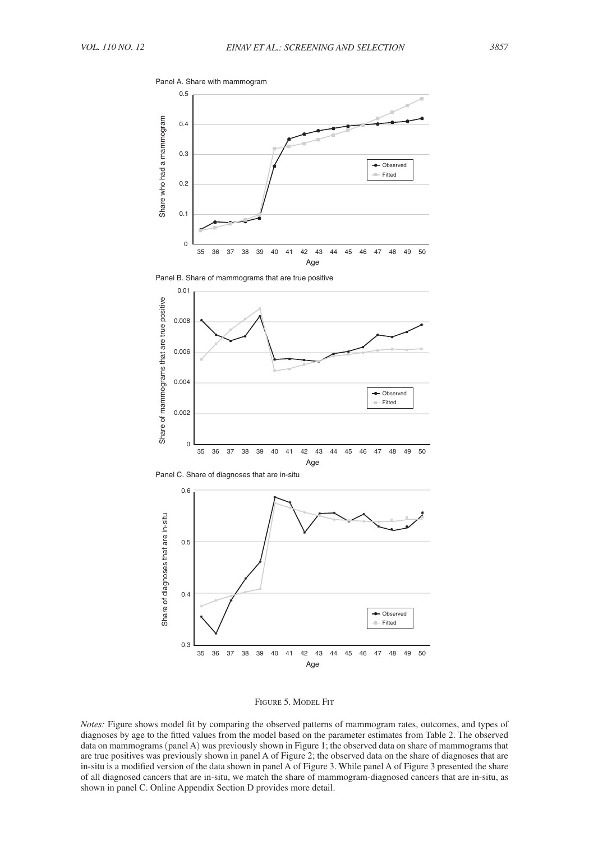<span id="page-21-0"></span>











*Notes:* Figure shows model fit by comparing the observed patterns of mammogram rates, outcomes, and types of diagnoses by age to the fitted values from the model based on the parameter estimates from Table 2. The observed data on mammograms (panel A) was previously shown in Figure 1; the observed data on share of mammograms that are true positives was previously shown in panel A of Figure 2; the observed data on the share of diagnoses that are in-situ is a modified version of the data shown in panel A of Figure 3. While panel A of Figure 3 presented the share of all diagnosed cancers that are in-situ, we match the share of mammogram-diagnosed cancers that are in-situ, as shown in panel C. Online Appendix Section D provides more detail.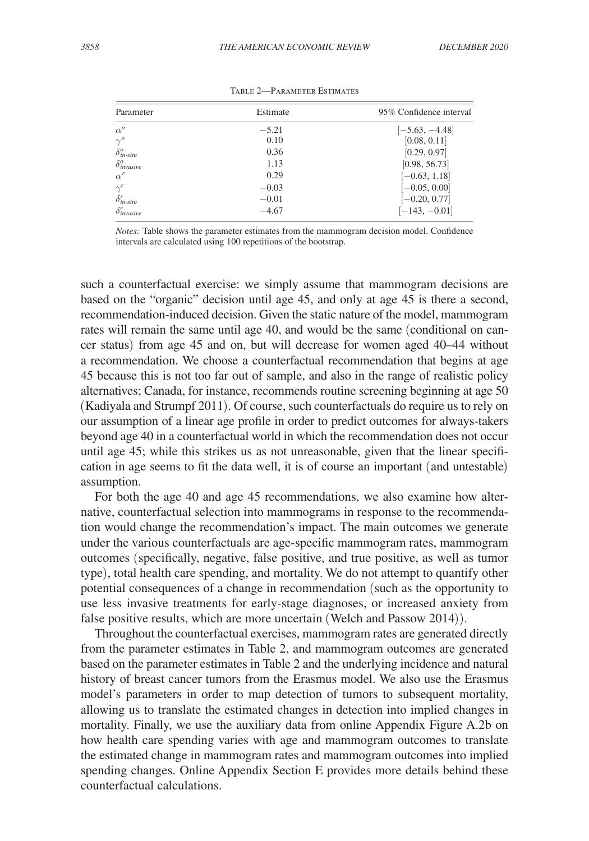<span id="page-22-0"></span>

| Parameter                    | Estimate | 95% Confidence interval |  |
|------------------------------|----------|-------------------------|--|
| $\alpha^o$                   | $-5.21$  | $[-5.63, -4.48]$        |  |
| $\gamma^{\prime}$            | 0.10     | [0.08, 0.11]            |  |
| $\delta_{in-situ}^o$         | 0.36     | [0.29, 0.97]            |  |
| $\delta_{\text{invasive}}^o$ | 1.13     | [0.98, 56.73]           |  |
| $\alpha^r$                   | 0.29     | $[-0.63, 1.18]$         |  |
| $\gamma^r$                   | $-0.03$  | $[-0.05, 0.00]$         |  |
| $\delta_{in-situ}^r$         | $-0.01$  | $[-0.20, 0.77]$         |  |
| $\delta_{\text{invasive}}^r$ | $-4.67$  | $[-143, -0.01]$         |  |

Table 2—Parameter Estimates

*Notes:* Table shows the parameter estimates from the mammogram decision model. Confidence intervals are calculated using 100 repetitions of the bootstrap.

such a counterfactual exercise: we simply assume that mammogram decisions are based on the "organic" decision until age 45, and only at age 45 is there a second, recommendation-induced decision. Given the static nature of the model, mammogram rates will remain the same until age 40, and would be the same (conditional on cancer status) from age 45 and on, but will decrease for women aged 40–44 without a recommendation. We choose a counterfactual recommendation that begins at age 45 because this is not too far out of sample, and also in the range of realistic policy alternatives; Canada, for instance, recommends routine screening beginning at age 50 (Kadiyala and Strumpf 2011). Of course, such counterfactuals do require us to rely on our assumption of a linear age profile in order to predict outcomes for always-takers beyond age 40 in a counterfactual world in which the recommendation does not occur until age 45; while this strikes us as not unreasonable, given that the linear specification in age seems to fit the data well, it is of course an important (and untestable) assumption.

For both the age 40 and age 45 recommendations, we also examine how alternative, counterfactual selection into mammograms in response to the recommendation would change the recommendation's impact. The main outcomes we generate under the various counterfactuals are age-specific mammogram rates, mammogram outcomes (specifically, negative, false positive, and true positive, as well as tumor type), total health care spending, and mortality. We do not attempt to quantify other potential consequences of a change in recommendation (such as the opportunity to use less invasive treatments for early-stage diagnoses, or increased anxiety from false positive results, which are more uncertain (Welch and Passow 2014)).

Throughout the counterfactual exercises, mammogram rates are generated directly from the parameter estimates in Table 2, and mammogram outcomes are generated based on the parameter estimates in Table 2 and the underlying incidence and natural history of breast cancer tumors from the Erasmus model. We also use the Erasmus model's parameters in order to map detection of tumors to subsequent mortality, allowing us to translate the estimated changes in detection into implied changes in mortality. Finally, we use the auxiliary data from online Appendix Figure A.2b on how health care spending varies with age and mammogram outcomes to translate the estimated change in mammogram rates and mammogram outcomes into implied spending changes. Online Appendix Section E provides more details behind these counterfactual calculations.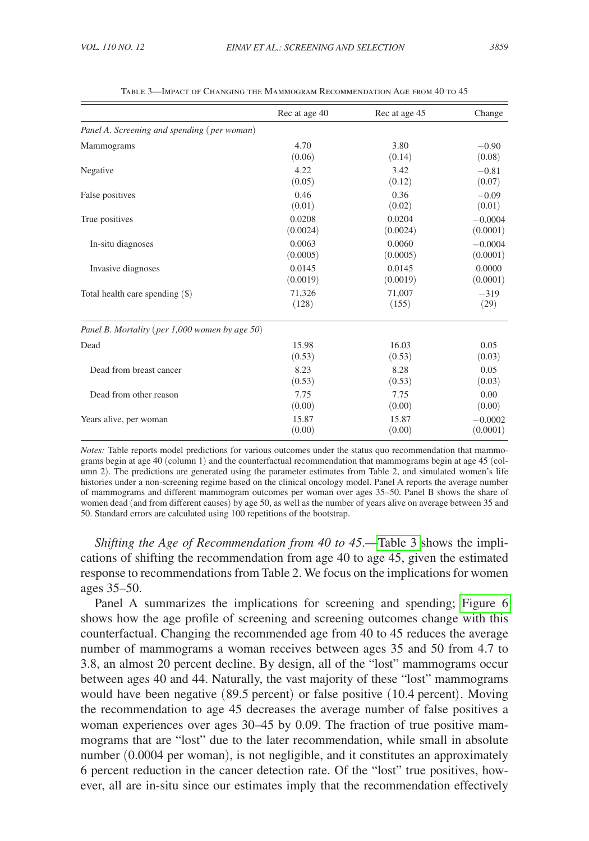|                                                | Rec at age 40 | Rec at age 45 | Change    |
|------------------------------------------------|---------------|---------------|-----------|
| Panel A. Screening and spending (per woman)    |               |               |           |
| Mammograms                                     | 4.70          | 3.80          | $-0.90$   |
|                                                | (0.06)        | (0.14)        | (0.08)    |
| Negative                                       | 4.22          | 3.42          | $-0.81$   |
|                                                | (0.05)        | (0.12)        | (0.07)    |
| False positives                                | 0.46          | 0.36          | $-0.09$   |
|                                                | (0.01)        | (0.02)        | (0.01)    |
| True positives                                 | 0.0208        | 0.0204        | $-0.0004$ |
|                                                | (0.0024)      | (0.0024)      | (0.0001)  |
| In-situ diagnoses                              | 0.0063        | 0.0060        | $-0.0004$ |
|                                                | (0.0005)      | (0.0005)      | (0.0001)  |
| Invasive diagnoses                             | 0.0145        | 0.0145        | 0.0000    |
|                                                | (0.0019)      | (0.0019)      | (0.0001)  |
| Total health care spending (\$)                | 71,326        | 71,007        | $-319$    |
|                                                | (128)         | (155)         | (29)      |
| Panel B. Mortality (per 1,000 women by age 50) |               |               |           |
| Dead                                           | 15.98         | 16.03         | 0.05      |
|                                                | (0.53)        | (0.53)        | (0.03)    |
| Dead from breast cancer                        | 8.23          | 8.28          | 0.05      |
|                                                | (0.53)        | (0.53)        | (0.03)    |
| Dead from other reason                         | 7.75          | 7.75          | 0.00      |
|                                                | (0.00)        | (0.00)        | (0.00)    |
| Years alive, per woman                         | 15.87         | 15.87         | $-0.0002$ |
|                                                | (0.00)        | (0.00)        | (0.0001)  |

Table 3—Impact of Changing the Mammogram Recommendation Age from 40 to 45

*Notes:* Table reports model predictions for various outcomes under the status quo recommendation that mammograms begin at age 40 (column 1) and the counterfactual recommendation that mammograms begin at age 45 (column 2). The predictions are generated using the parameter estimates from Table 2, and simulated women's life histories under a non-screening regime based on the clinical oncology model. Panel A reports the average number of mammograms and different mammogram outcomes per woman over ages 35–50. Panel B shows the share of women dead (and from different causes) by age 50, as well as the number of years alive on average between 35 and 50. Standard errors are calculated using 100 repetitions of the bootstrap.

*Shifting the Age of Recommendation from 40 to 45*.—Table 3 shows the implications of shifting the recommendation from age 40 to age 45, given the estimated response to recommendations from Table 2. We focus on the implications for women ages 35–50.

Panel A summarizes the implications for screening and spending; [Figure 6](#page-24-0)  shows how the age profile of screening and screening outcomes change with this counterfactual. Changing the recommended age from 40 to 45 reduces the average number of mammograms a woman receives between ages 35 and 50 from 4.7 to 3.8, an almost 20 percent decline. By design, all of the "lost" mammograms occur between ages 40 and 44. Naturally, the vast majority of these "lost" mammograms would have been negative (89.5 percent) or false positive (10.4 percent). Moving the recommendation to age 45 decreases the average number of false positives a woman experiences over ages 30–45 by 0.09. The fraction of true positive mammograms that are "lost" due to the later recommendation, while small in absolute number (0.0004 per woman), is not negligible, and it constitutes an approximately 6 percent reduction in the cancer detection rate. Of the "lost" true positives, however, all are in-situ since our estimates imply that the recommendation effectively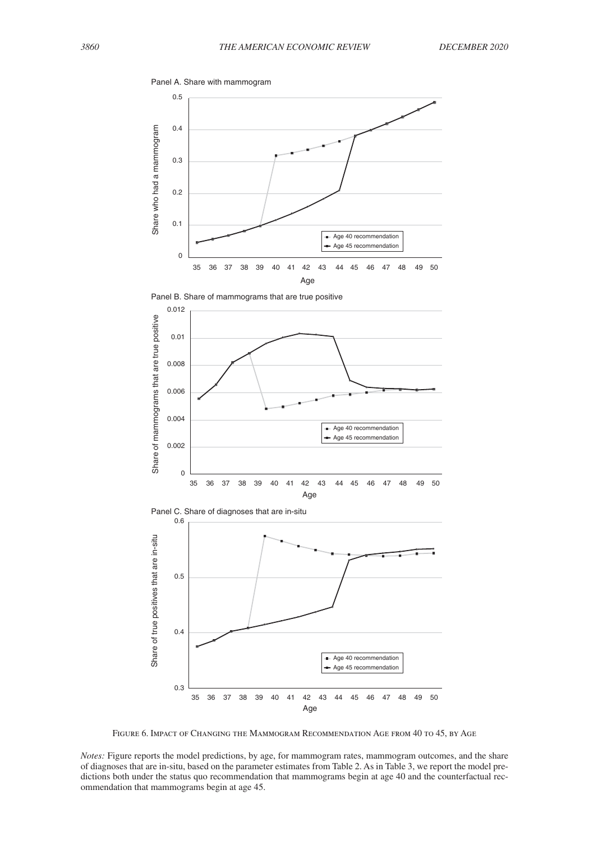<span id="page-24-0"></span>

Panel B. Share of mammograms that are true positive



Panel C. Share of diagnoses that are in-situ



Figure 6. Impact of Changing the Mammogram Recommendation Age from 40 to 45, by Age

*Notes:* Figure reports the model predictions, by age, for mammogram rates, mammogram outcomes, and the share of diagnoses that are in-situ, based on the parameter estimates from Table 2. As in Table 3, we report the model predictions both under the status quo recommendation that mammograms begin at age 40 and the counterfactual recommendation that mammograms begin at age 45.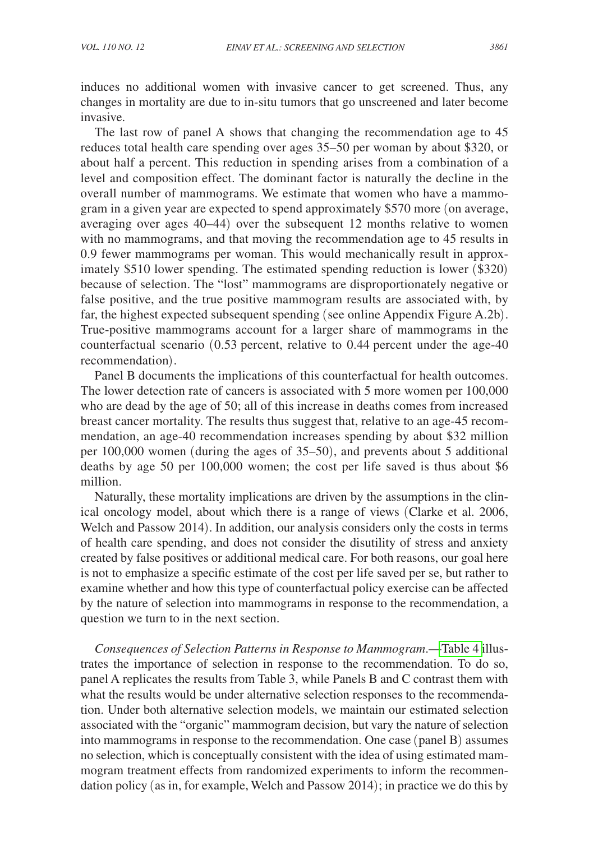induces no additional women with invasive cancer to get screened. Thus, any changes in mortality are due to in-situ tumors that go unscreened and later become invasive.

The last row of panel A shows that changing the recommendation age to 45 reduces total health care spending over ages 35–50 per woman by about \$320, or about half a percent. This reduction in spending arises from a combination of a level and composition effect. The dominant factor is naturally the decline in the overall number of mammograms. We estimate that women who have a mammogram in a given year are expected to spend approximately \$570 more (on average, averaging over ages 40–44) over the subsequent 12 months relative to women with no mammograms, and that moving the recommendation age to 45 results in 0.9 fewer mammograms per woman. This would mechanically result in approximately \$510 lower spending. The estimated spending reduction is lower (\$320) because of selection. The "lost" mammograms are disproportionately negative or false positive, and the true positive mammogram results are associated with, by far, the highest expected subsequent spending (see online Appendix Figure A.2b). True-positive mammograms account for a larger share of mammograms in the counterfactual scenario (0.53 percent, relative to 0.44 percent under the age-40 recommendation).

Panel B documents the implications of this counterfactual for health outcomes. The lower detection rate of cancers is associated with 5 more women per 100,000 who are dead by the age of 50; all of this increase in deaths comes from increased breast cancer mortality. The results thus suggest that, relative to an age-45 recommendation, an age-40 recommendation increases spending by about \$32 million per 100,000 women (during the ages of 35–50), and prevents about 5 additional deaths by age 50 per 100,000 women; the cost per life saved is thus about \$6 million.

Naturally, these mortality implications are driven by the assumptions in the clinical oncology model, about which there is a range of views (Clarke et al. 2006, Welch and Passow 2014). In addition, our analysis considers only the costs in terms of health care spending, and does not consider the disutility of stress and anxiety created by false positives or additional medical care. For both reasons, our goal here is not to emphasize a specific estimate of the cost per life saved per se, but rather to examine whether and how this type of counterfactual policy exercise can be affected by the nature of selection into mammograms in response to the recommendation, a question we turn to in the next section.

*Consequences of Selection Patterns in Response to Mammogram*.[—Table 4](#page-26-0) illustrates the importance of selection in response to the recommendation. To do so, panel A replicates the results from Table 3, while Panels B and C contrast them with what the results would be under alternative selection responses to the recommendation. Under both alternative selection models, we maintain our estimated selection associated with the "organic" mammogram decision, but vary the nature of selection into mammograms in response to the recommendation. One case (panel B) assumes no selection, which is conceptually consistent with the idea of using estimated mammogram treatment effects from randomized experiments to inform the recommendation policy (as in, for example, Welch and Passow 2014); in practice we do this by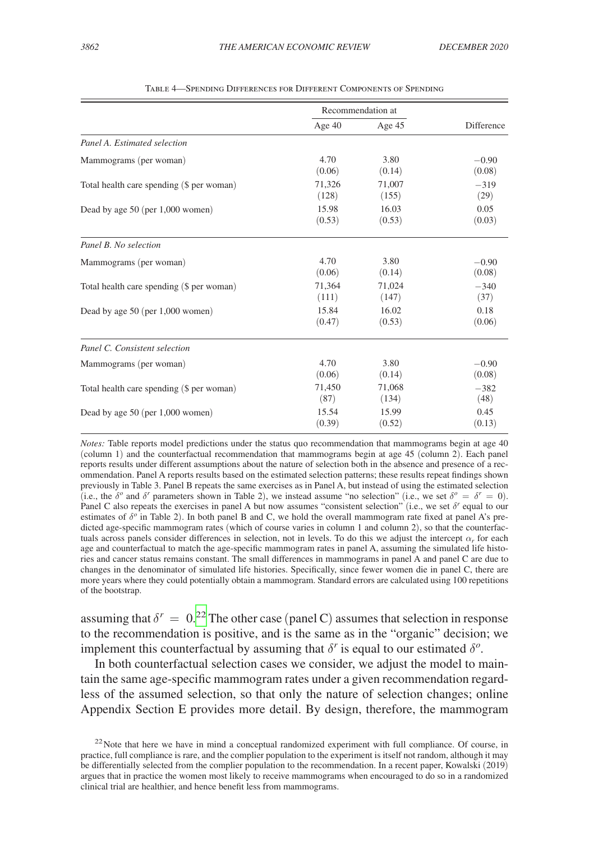<span id="page-26-0"></span>

|                                           | Recommendation at |        |            |
|-------------------------------------------|-------------------|--------|------------|
|                                           | Age 40            | Age 45 | Difference |
| Panel A. Estimated selection              |                   |        |            |
| Mammograms (per woman)                    | 4.70              | 3.80   | $-0.90$    |
|                                           | (0.06)            | (0.14) | (0.08)     |
| Total health care spending (\$ per woman) | 71,326            | 71,007 | $-319$     |
|                                           | (128)             | (155)  | (29)       |
| Dead by age 50 (per 1,000 women)          | 15.98             | 16.03  | 0.05       |
|                                           | (0.53)            | (0.53) | (0.03)     |
| Panel B. No selection                     |                   |        |            |
| Mammograms (per woman)                    | 4.70              | 3.80   | $-0.90$    |
|                                           | (0.06)            | (0.14) | (0.08)     |
| Total health care spending (\$ per woman) | 71,364            | 71,024 | $-340$     |
|                                           | (111)             | (147)  | (37)       |
| Dead by age $50$ (per $1,000$ women)      | 15.84             | 16.02  | 0.18       |
|                                           | (0.47)            | (0.53) | (0.06)     |
| Panel C. Consistent selection             |                   |        |            |
| Mammograms (per woman)                    | 4.70              | 3.80   | $-0.90$    |
|                                           | (0.06)            | (0.14) | (0.08)     |
| Total health care spending (\$ per woman) | 71,450            | 71,068 | $-382$     |
|                                           | (87)              | (134)  | (48)       |
| Dead by age 50 (per 1,000 women)          | 15.54             | 15.99  | 0.45       |
|                                           | (0.39)            | (0.52) | (0.13)     |

Table 4—Spending Differences for Different Components of Spending

*Notes:* Table reports model predictions under the status quo recommendation that mammograms begin at age 40 (column 1) and the counterfactual recommendation that mammograms begin at age 45 (column 2). Each panel reports results under different assumptions about the nature of selection both in the absence and presence of a recommendation. Panel A reports results based on the estimated selection patterns; these results repeat findings shown previously in Table 3. Panel B repeats the same exercises as in Panel A, but instead of using the estimated selection (i.e., the  $\delta^o$  and  $\delta^r$  parameters shown in Table 2), we instead assume "no selection" (i.e., we set  $\delta^o = \delta^r = 0$ ). Panel C also repeats the exercises in panel A but now assumes "consistent selection" (i.e., we set  $\delta^r$  equal to our estimates of  $\delta^o$  in Table 2). In both panel B and C, we hold the overall mammogram rate fixed at panel A's predicted age-specific mammogram rates (which of course varies in column 1 and column 2), so that the counterfactuals across panels consider differences in selection, not in levels. To do this we adjust the intercept  $\alpha_r$  for each age and counterfactual to match the age-specific mammogram rates in panel A, assuming the simulated life histories and cancer status remains constant. The small differences in mammograms in panel A and panel C are due to changes in the denominator of simulated life histories. Specifically, since fewer women die in panel C, there are more years where they could potentially obtain a mammogram. Standard errors are calculated using 100 repetitions of the bootstrap.

assuming that  $\delta^r = 0.22$  $\delta^r = 0.22$  The other case (panel C) assumes that selection in response to the recommendation is positive, and is the same as in the "organic" decision; we implement this counterfactual by assuming that  $\delta^r$  is equal to our estimated  $\delta^o$ .

In both counterfactual selection cases we consider, we adjust the model to maintain the same age-specific mammogram rates under a given recommendation regardless of the assumed selection, so that only the nature of selection changes; online Appendix Section E provides more detail. By design, therefore, the mammogram

<span id="page-26-1"></span> $2<sup>22</sup>$  Note that here we have in mind a conceptual randomized experiment with full compliance. Of course, in practice, full compliance is rare, and the complier population to the experiment is itself not random, although it may be differentially selected from the complier population to the recommendation. In a recent paper, Kowalski (2019) argues that in practice the women most likely to receive mammograms when encouraged to do so in a randomized clinical trial are healthier, and hence benefit less from mammograms.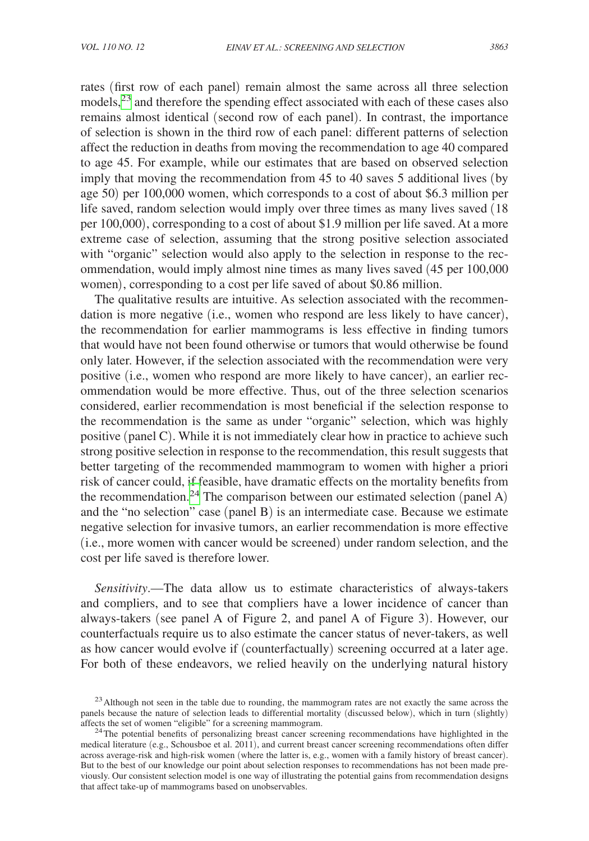rates (first row of each panel) remain almost the same across all three selection models,<sup>[23](#page-27-0)</sup> and therefore the spending effect associated with each of these cases also remains almost identical (second row of each panel). In contrast, the importance of selection is shown in the third row of each panel: different patterns of selection affect the reduction in deaths from moving the recommendation to age 40 compared to age 45. For example, while our estimates that are based on observed selection imply that moving the recommendation from 45 to 40 saves 5 additional lives (by age 50) per 100,000 women, which corresponds to a cost of about \$6.3 million per life saved, random selection would imply over three times as many lives saved (18 per 100,000), corresponding to a cost of about \$1.9 million per life saved. At a more extreme case of selection, assuming that the strong positive selection associated with "organic" selection would also apply to the selection in response to the recommendation, would imply almost nine times as many lives saved (45 per 100,000 women), corresponding to a cost per life saved of about \$0.86 million.

The qualitative results are intuitive. As selection associated with the recommendation is more negative (i.e., women who respond are less likely to have cancer), the recommendation for earlier mammograms is less effective in finding tumors that would have not been found otherwise or tumors that would otherwise be found only later. However, if the selection associated with the recommendation were very positive (i.e., women who respond are more likely to have cancer), an earlier recommendation would be more effective. Thus, out of the three selection scenarios considered, earlier recommendation is most beneficial if the selection response to the recommendation is the same as under "organic" selection, which was highly positive (panel C). While it is not immediately clear how in practice to achieve such strong positive selection in response to the recommendation, this result suggests that better targeting of the recommended mammogram to women with higher a priori risk of cancer could, if feasible, have dramatic effects on the mortality benefits from the recommendation.<sup>24</sup> The comparison between our estimated selection (panel A) and the "no selection" case (panel B) is an intermediate case. Because we estimate negative selection for invasive tumors, an earlier recommendation is more effective (i.e., more women with cancer would be screened) under random selection, and the cost per life saved is therefore lower.

*Sensitivity*.—The data allow us to estimate characteristics of always-takers and compliers, and to see that compliers have a lower incidence of cancer than always-takers (see panel A of Figure 2, and panel A of Figure 3). However, our counterfactuals require us to also estimate the cancer status of never-takers, as well as how cancer would evolve if (counterfactually) screening occurred at a later age. For both of these endeavors, we relied heavily on the underlying natural history

<span id="page-27-0"></span><sup>&</sup>lt;sup>23</sup>Although not seen in the table due to rounding, the mammogram rates are not exactly the same across the panels because the nature of selection leads to differential mortality (discussed below), which in turn (slightly) affects the set of women "eligible" for a screening mammogram.

<span id="page-27-1"></span><sup>&</sup>lt;sup>24</sup>The potential benefits of personalizing breast cancer screening recommendations have highlighted in the medical literature (e.g., Schousboe et al. 2011), and current breast cancer screening recommendations often differ across average-risk and high-risk women (where the latter is, e.g., women with a family history of breast cancer). But to the best of our knowledge our point about selection responses to recommendations has not been made previously. Our consistent selection model is one way of illustrating the potential gains from recommendation designs that affect take-up of mammograms based on unobservables.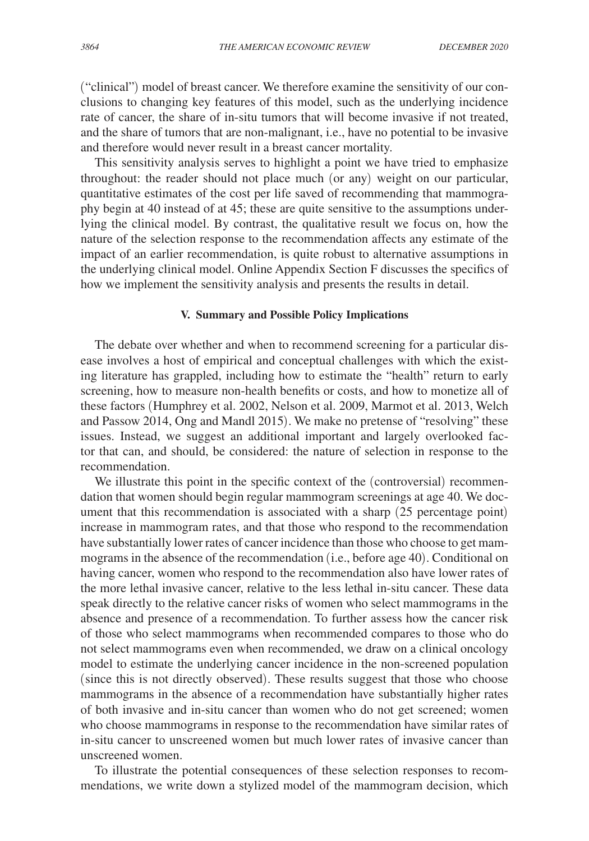("clinical") model of breast cancer. We therefore examine the sensitivity of our conclusions to changing key features of this model, such as the underlying incidence rate of cancer, the share of in-situ tumors that will become invasive if not treated, and the share of tumors that are non-malignant, i.e., have no potential to be invasive and therefore would never result in a breast cancer mortality.

This sensitivity analysis serves to highlight a point we have tried to emphasize throughout: the reader should not place much (or any) weight on our particular, quantitative estimates of the cost per life saved of recommending that mammography begin at 40 instead of at 45; these are quite sensitive to the assumptions underlying the clinical model. By contrast, the qualitative result we focus on, how the nature of the selection response to the recommendation affects any estimate of the impact of an earlier recommendation, is quite robust to alternative assumptions in the underlying clinical model. Online Appendix Section F discusses the specifics of how we implement the sensitivity analysis and presents the results in detail.

#### **V. Summary and Possible Policy Implications**

The debate over whether and when to recommend screening for a particular disease involves a host of empirical and conceptual challenges with which the existing literature has grappled, including how to estimate the "health" return to early screening, how to measure non-health benefits or costs, and how to monetize all of these factors (Humphrey et al. 2002, Nelson et al. 2009, Marmot et al. 2013, Welch and Passow 2014, Ong and Mandl 2015). We make no pretense of "resolving" these issues. Instead, we suggest an additional important and largely overlooked factor that can, and should, be considered: the nature of selection in response to the recommendation.

We illustrate this point in the specific context of the (controversial) recommendation that women should begin regular mammogram screenings at age 40. We document that this recommendation is associated with a sharp (25 percentage point) increase in mammogram rates, and that those who respond to the recommendation have substantially lower rates of cancer incidence than those who choose to get mammograms in the absence of the recommendation (i.e., before age 40). Conditional on having cancer, women who respond to the recommendation also have lower rates of the more lethal invasive cancer, relative to the less lethal in-situ cancer. These data speak directly to the relative cancer risks of women who select mammograms in the absence and presence of a recommendation. To further assess how the cancer risk of those who select mammograms when recommended compares to those who do not select mammograms even when recommended, we draw on a clinical oncology model to estimate the underlying cancer incidence in the non-screened population (since this is not directly observed). These results suggest that those who choose mammograms in the absence of a recommendation have substantially higher rates of both invasive and in-situ cancer than women who do not get screened; women who choose mammograms in response to the recommendation have similar rates of in-situ cancer to unscreened women but much lower rates of invasive cancer than unscreened women.

To illustrate the potential consequences of these selection responses to recommendations, we write down a stylized model of the mammogram decision, which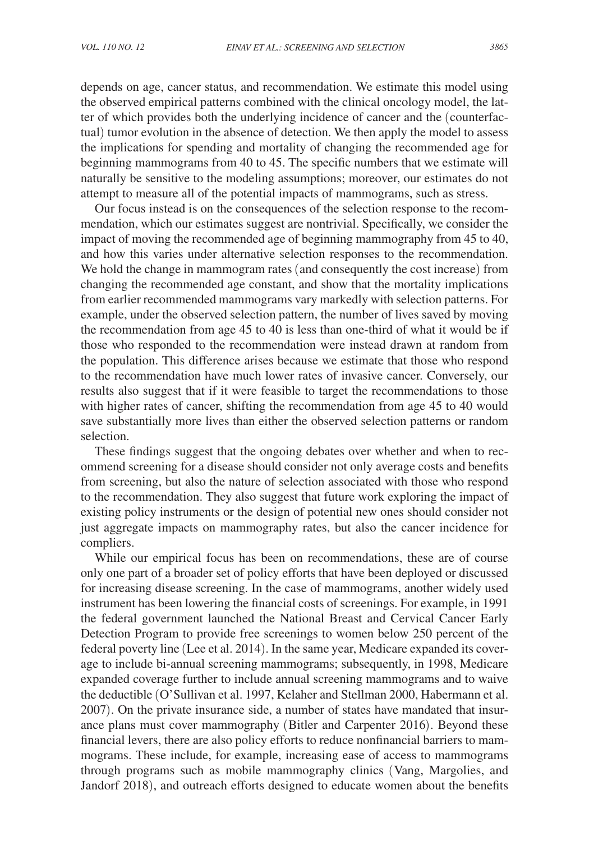depends on age, cancer status, and recommendation. We estimate this model using the observed empirical patterns combined with the clinical oncology model, the latter of which provides both the underlying incidence of cancer and the (counterfactual) tumor evolution in the absence of detection. We then apply the model to assess the implications for spending and mortality of changing the recommended age for beginning mammograms from 40 to 45. The specific numbers that we estimate will naturally be sensitive to the modeling assumptions; moreover, our estimates do not attempt to measure all of the potential impacts of mammograms, such as stress.

Our focus instead is on the consequences of the selection response to the recommendation, which our estimates suggest are nontrivial. Specifically, we consider the impact of moving the recommended age of beginning mammography from 45 to 40, and how this varies under alternative selection responses to the recommendation. We hold the change in mammogram rates (and consequently the cost increase) from changing the recommended age constant, and show that the mortality implications from earlier recommended mammograms vary markedly with selection patterns. For example, under the observed selection pattern, the number of lives saved by moving the recommendation from age 45 to 40 is less than one-third of what it would be if those who responded to the recommendation were instead drawn at random from the population. This difference arises because we estimate that those who respond to the recommendation have much lower rates of invasive cancer. Conversely, our results also suggest that if it were feasible to target the recommendations to those with higher rates of cancer, shifting the recommendation from age 45 to 40 would save substantially more lives than either the observed selection patterns or random selection.

These findings suggest that the ongoing debates over whether and when to recommend screening for a disease should consider not only average costs and benefits from screening, but also the nature of selection associated with those who respond to the recommendation. They also suggest that future work exploring the impact of existing policy instruments or the design of potential new ones should consider not just aggregate impacts on mammography rates, but also the cancer incidence for compliers.

While our empirical focus has been on recommendations, these are of course only one part of a broader set of policy efforts that have been deployed or discussed for increasing disease screening. In the case of mammograms, another widely used instrument has been lowering the financial costs of screenings. For example, in 1991 the federal government launched the National Breast and Cervical Cancer Early Detection Program to provide free screenings to women below 250 percent of the federal poverty line (Lee et al. 2014). In the same year, Medicare expanded its coverage to include bi-annual screening mammograms; subsequently, in 1998, Medicare expanded coverage further to include annual screening mammograms and to waive the deductible (O'Sullivan et al. 1997, Kelaher and Stellman 2000, Habermann et al. 2007). On the private insurance side, a number of states have mandated that insurance plans must cover mammography (Bitler and Carpenter 2016). Beyond these financial levers, there are also policy efforts to reduce nonfinancial barriers to mammograms. These include, for example, increasing ease of access to mammograms through programs such as mobile mammography clinics (Vang, Margolies, and Jandorf 2018), and outreach efforts designed to educate women about the benefits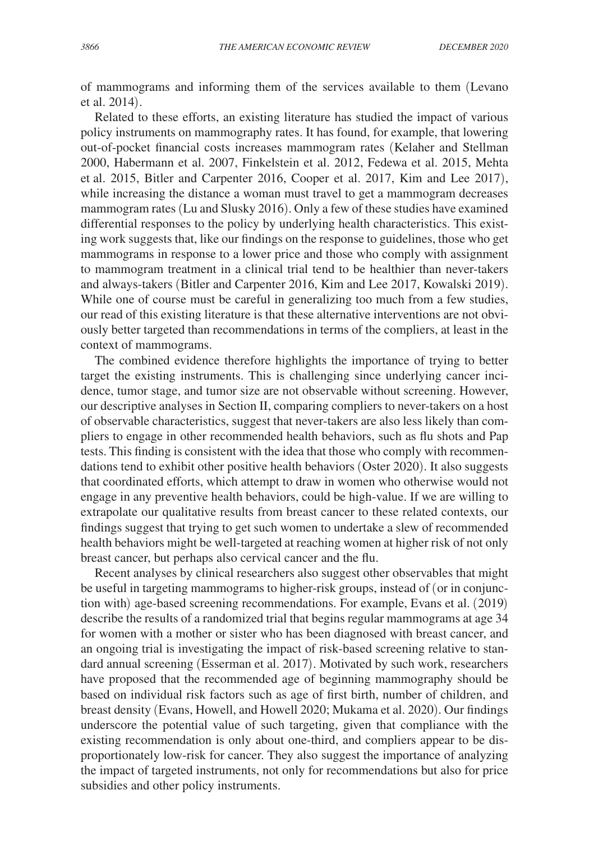of mammograms and informing them of the services available to them (Levano et al. 2014).

Related to these efforts, an existing literature has studied the impact of various policy instruments on mammography rates. It has found, for example, that lowering out-of-pocket financial costs increases mammogram rates (Kelaher and Stellman 2000, Habermann et al. 2007, Finkelstein et al. 2012, Fedewa et al. 2015, Mehta et al. 2015, Bitler and Carpenter 2016, Cooper et al. 2017, Kim and Lee 2017), while increasing the distance a woman must travel to get a mammogram decreases mammogram rates (Lu and Slusky 2016). Only a few of these studies have examined differential responses to the policy by underlying health characteristics. This existing work suggests that, like our findings on the response to guidelines, those who get mammograms in response to a lower price and those who comply with assignment to mammogram treatment in a clinical trial tend to be healthier than never-takers and always-takers (Bitler and Carpenter 2016, Kim and Lee 2017, Kowalski 2019). While one of course must be careful in generalizing too much from a few studies, our read of this existing literature is that these alternative interventions are not obviously better targeted than recommendations in terms of the compliers, at least in the context of mammograms.

The combined evidence therefore highlights the importance of trying to better target the existing instruments. This is challenging since underlying cancer incidence, tumor stage, and tumor size are not observable without screening. However, our descriptive analyses in Section II, comparing compliers to never-takers on a host of observable characteristics, suggest that never-takers are also less likely than compliers to engage in other recommended health behaviors, such as flu shots and Pap tests. This finding is consistent with the idea that those who comply with recommendations tend to exhibit other positive health behaviors (Oster 2020). It also suggests that coordinated efforts, which attempt to draw in women who otherwise would not engage in any preventive health behaviors, could be high-value. If we are willing to extrapolate our qualitative results from breast cancer to these related contexts, our findings suggest that trying to get such women to undertake a slew of recommended health behaviors might be well-targeted at reaching women at higher risk of not only breast cancer, but perhaps also cervical cancer and the flu.

Recent analyses by clinical researchers also suggest other observables that might be useful in targeting mammograms to higher-risk groups, instead of (or in conjunction with) age-based screening recommendations. For example, Evans et al. (2019) describe the results of a randomized trial that begins regular mammograms at age 34 for women with a mother or sister who has been diagnosed with breast cancer, and an ongoing trial is investigating the impact of risk-based screening relative to standard annual screening (Esserman et al. 2017). Motivated by such work, researchers have proposed that the recommended age of beginning mammography should be based on individual risk factors such as age of first birth, number of children, and breast density (Evans, Howell, and Howell 2020; Mukama et al. 2020). Our findings underscore the potential value of such targeting, given that compliance with the existing recommendation is only about one-third, and compliers appear to be disproportionately low-risk for cancer. They also suggest the importance of analyzing the impact of targeted instruments, not only for recommendations but also for price subsidies and other policy instruments.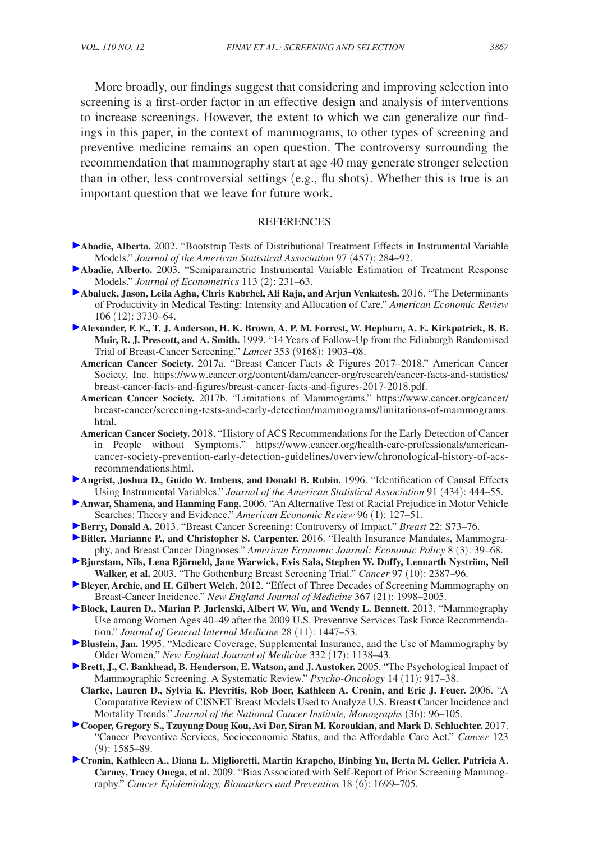More broadly, our findings suggest that considering and improving selection into screening is a first-order factor in an effective design and analysis of interventions to increase screenings. However, the extent to which we can generalize our findings in this paper, in the context of mammograms, to other types of screening and preventive medicine remains an open question. The controversy surrounding the recommendation that mammography start at age 40 may generate stronger selection than in other, less controversial settings (e.g., flu shots). Whether this is true is an important question that we leave for future work.

#### **REFERENCES**

- **Abadie, Alberto.** 2002. "Bootstrap Tests of Distributional Treatment Effects in Instrumental Variable Models." *Journal of the American Statistical Association* 97 (457): 284–92.
- **Abadie, Alberto.** 2003. "Semiparametric Instrumental Variable Estimation of Treatment Response Models." *Journal of Econometrics* 113 (2): 231–63.
- **Abaluck, Jason, Leila Agha, Chris Kabrhel, Ali Raja, and Arjun Venkatesh.** 2016. "The Determinants of Productivity in Medical Testing: Intensity and Allocation of Care." *American Economic Review* 106 (12): 3730–64.
- **Alexander, F. E., T. J. Anderson, H. K. Brown, A. P. M. Forrest, W. Hepburn, A. E. Kirkpatrick, B. B. Muir, R. J. Prescott, and A. Smith.** 1999. "14 Years of Follow-Up from the Edinburgh Randomised Trial of Breast-Cancer Screening." *Lancet* 353 (9168): 1903–08.
	- **American Cancer Society.** 2017a. "Breast Cancer Facts & Figures 2017–2018." American Cancer [Society, Inc. https://www.cancer.org/content/dam/cancer-org/research/cancer-facts-and-statistics/](https://www.cancer.org/content/dam/cancer-org/research/cancer-facts-and-statistics/breast-cancer-facts-and-figures/breast-cancer-facts-and-figures-2017-2018.pdf) breast-cancer-facts-and-figures/breast-cancer-facts-and-figures-2017-2018.pdf.
	- **American Cancer Society.** 2017b. "Limitations of Mammograms." https://www.cancer.org/cancer/ [breast-cancer/screening-tests-and-early-detection/mammograms/limitations-of-mammograms.](https://www.cancer.org/cancer/breast-cancer/screening-tests-and-early-detection/mammograms/limitations-of-mammograms.html) html.
	- **American Cancer Society.** 2018. "History of ACS Recommendations for the Early Detection of Cancer in People without Symptoms." https://www.cancer.org/health-care-professionals/americancancer-society-prevention-early-detection-guidelines/overview/chronological-history-of-acsrecommendations.html.
- **Angrist, Joshua D., Guido W. Imbens, and Donald B. Rubin.** 1996. "Identification of Causal Effects Using Instrumental Variables." *Journal of the American Statistical Association* 91 (434): 444–55.
- **Anwar, Shamena, and Hanming Fang.** 2006. "An Alternative Test of Racial Prejudice in Motor Vehicle Searches: Theory and Evidence." *American Economic Review* 96 (1): 127–51.
- **Berry, Donald A.** 2013. "Breast Cancer Screening: Controversy of Impact." *Breast* 22: S73–76.
- **Bitler, Marianne P., and Christopher S. Carpenter.** 2016. "Health Insurance Mandates, Mammography, and Breast Cancer Diagnoses." *American Economic Journal: Economic Policy* 8 (3): 39–68.
- **Bjurstam, Nils, Lena Björneld, Jane Warwick, Evis Sala, Stephen W. Duffy, Lennarth Nyström, Neil Walker, et al.** 2003. "The Gothenburg Breast Screening Trial." *Cancer* 97 (10): 2387–96.
- **Bleyer, Archie, and H. Gilbert Welch.** 2012. "Effect of Three Decades of Screening Mammography on Breast-Cancer Incidence." *New England Journal of Medicine* 367 (21): 1998–2005.
- **Block, Lauren D., Marian P. Jarlenski, Albert W. Wu, and Wendy L. Bennett.** 2013. "Mammography Use among Women Ages 40–49 after the 2009 U.S. Preventive Services Task Force Recommendation." *Journal of General Internal Medicine* 28 (11): 1447–53.
- **Blustein, Jan.** 1995. "Medicare Coverage, Supplemental Insurance, and the Use of Mammography by Older Women." *New England Journal of Medicine* 332 (17): 1138–43.
- **Brett, J., C. Bankhead, B. Henderson, E. Watson, and J. Austoker.** 2005. "The Psychological Impact of Mammographic Screening. A Systematic Review." *Psycho-Oncology* 14 (11): 917–38.
- **Clarke, Lauren D., Sylvia K. Plevritis, Rob Boer, Kathleen A. Cronin, and Eric J. Feuer.** 2006. "A Comparative Review of CISNET Breast Models Used to Analyze U.S. Breast Cancer Incidence and Mortality Trends." *Journal of the National Cancer Institute, Monographs* (36): 96–105.
- **Cooper, Gregory S., Tzuyung Doug Kou, Avi Dor, Siran M. Koroukian, and Mark D. Schluchter.** 2017. "Cancer Preventive Services, Socioeconomic Status, and the Affordable Care Act." *Cancer* 123 (9): 1585–89.
- **Cronin, Kathleen A., Diana L. Miglioretti, Martin Krapcho, Binbing Yu, Berta M. Geller, Patricia A. Carney, Tracy Onega, et al.** 2009. "Bias Associated with Self-Report of Prior Screening Mammography." *Cancer Epidemiology, Biomarkers and Prevention* 18 (6): 1699–705.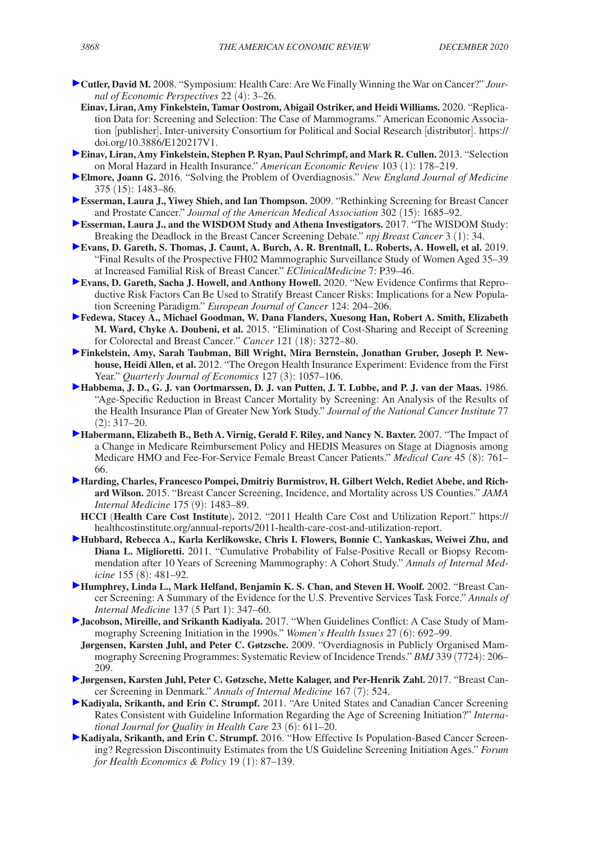- **Cutler, David M.** 2008. "Symposium: Health Care: Are We Finally Winning the War on Cancer?" *Journal of Economic Perspectives* 22 (4): 3–26.
	- **Einav, Liran, Amy Finkelstein, Tamar Oostrom, Abigail Ostriker, and Heidi Williams.** 2020. "Replication Data for: Screening and Selection: The Case of Mammograms." American Economic Association [publisher], Inter-university Consortium for Political and Social Research [distributor]. https:// doi.org/10.3886/E120217V1.
- **Einav, Liran, Amy Finkelstein, Stephen P. Ryan, Paul Schrimpf, and Mark R. Cullen. 2013. "Selection"** on Moral Hazard in Health Insurance." *American Economic Review* 103 (1): 178–219.
- **Elmore, Joann G.** 2016. "Solving the Problem of Overdiagnosis." *New England Journal of Medicine* 375 (15): 1483–86.
- **Esserman, Laura J., Yiwey Shieh, and Ian Thompson.** 2009. "Rethinking Screening for Breast Cancer and Prostate Cancer." *Journal of the American Medical Association* 302 (15): 1685–92.
- **Esserman, Laura J., and the WISDOM Study and Athena Investigators.** 2017. "The WISDOM Study: Breaking the Deadlock in the Breast Cancer Screening Debate." *npj Breast Cancer* 3 (1): 34.
- **Evans, D. Gareth, S. Thomas, J. Caunt, A. Burch, A. R. Brentnall, L. Roberts, A. Howell, et al.** 2019. "Final Results of the Prospective FH02 Mammographic Surveillance Study of Women Aged 35–39 at Increased Familial Risk of Breast Cancer." *EClinicalMedicine* 7: P39–46.
- **Evans, D. Gareth, Sacha J. Howell, and Anthony Howell.** 2020. "New Evidence Confirms that Reproductive Risk Factors Can Be Used to Stratify Breast Cancer Risks: Implications for a New Population Screening Paradigm." *European Journal of Cancer* 124: 204–206.
- **Fedewa, Stacey A., Michael Goodman, W. Dana Flanders, Xuesong Han, Robert A. Smith, Elizabeth M. Ward, Chyke A. Doubeni, et al.** 2015. "Elimination of Cost-Sharing and Receipt of Screening for Colorectal and Breast Cancer." *Cancer* 121 (18): 3272–80.
- **Finkelstein, Amy, Sarah Taubman, Bill Wright, Mira Bernstein, Jonathan Gruber, Joseph P. Newhouse, Heidi Allen, et al.** 2012. "The Oregon Health Insurance Experiment: Evidence from the First Year." *Quarterly Journal of Economics* 127 (3): 1057–106.
- **Habbema, J. D., G. J. van Oortmarssen, D. J. van Putten, J. T. Lubbe, and P. J. van der Maas.** 1986. "Age-Specific Reduction in Breast Cancer Mortality by Screening: An Analysis of the Results of the Health Insurance Plan of Greater New York Study." *Journal of the National Cancer Institute* 77 (2): 317–20.
- **Habermann, Elizabeth B., Beth A. Virnig, Gerald F. Riley, and Nancy N. Baxter.** 2007. "The Impact of a Change in Medicare Reimbursement Policy and HEDIS Measures on Stage at Diagnosis among Medicare HMO and Fee-For-Service Female Breast Cancer Patients." *Medical Care* 45 (8): 761– 66.
- **Harding, Charles, Francesco Pompei, Dmitriy Burmistrov, H. Gilbert Welch, Rediet Abebe, and Richard Wilson.** 2015. "Breast Cancer Screening, Incidence, and Mortality across US Counties." *JAMA Internal Medicine* 175 (9): 1483–89.
- **HCCI** (**Health Care Cost Institute**)**.** 2012. "2011 Health Care Cost and Utilization Report." https:// healthcostinstitute.org/annual-reports/2011-health-care-cost-and-utilization-report.
- **Hubbard, Rebecca A., Karla Kerlikowske, Chris I. Flowers, Bonnie C. Yankaskas, Weiwei Zhu, and Diana L. Miglioretti.** 2011. "Cumulative Probability of False-Positive Recall or Biopsy Recommendation after 10 Years of Screening Mammography: A Cohort Study." *Annals of Internal Medicine* 155 (8): 481–92.
- **Humphrey, Linda L., Mark Helfand, Benjamin K. S. Chan, and Steven H. Woolf.** 2002. "Breast Cancer Screening: A Summary of the Evidence for the U.S. Preventive Services Task Force." *Annals of Internal Medicine* 137 (5 Part 1): 347–60.
- **Jacobson, Mireille, and Srikanth Kadiyala.** 2017. "When Guidelines Conflict: A Case Study of Mammography Screening Initiation in the 1990s." *Women's Health Issues* 27 (6): 692–99.
- **Jørgensen, Karsten Juhl, and Peter C. Gøtzsche.** 2009. "Overdiagnosis in Publicly Organised Mammography Screening Programmes: Systematic Review of Incidence Trends." *BMJ* 339 (7724): 206– 209.
- **Jørgensen, Karsten Juhl, Peter C. Gøtzsche, Mette Kalager, and Per-Henrik Zahl.** 2017. "Breast Cancer Screening in Denmark." *Annals of Internal Medicine* 167 (7): 524.
- **Kadiyala, Srikanth, and Erin C. Strumpf.** 2011. "Are United States and Canadian Cancer Screening Rates Consistent with Guideline Information Regarding the Age of Screening Initiation?" *International Journal for Quality in Health Care* 23 (6): 611–20.
- **Kadiyala, Srikanth, and Erin C. Strumpf.** 2016. "How Effective Is Population-Based Cancer Screening? Regression Discontinuity Estimates from the US Guideline Screening Initiation Ages." *Forum for Health Economics & Policy* 19 (1): 87–139.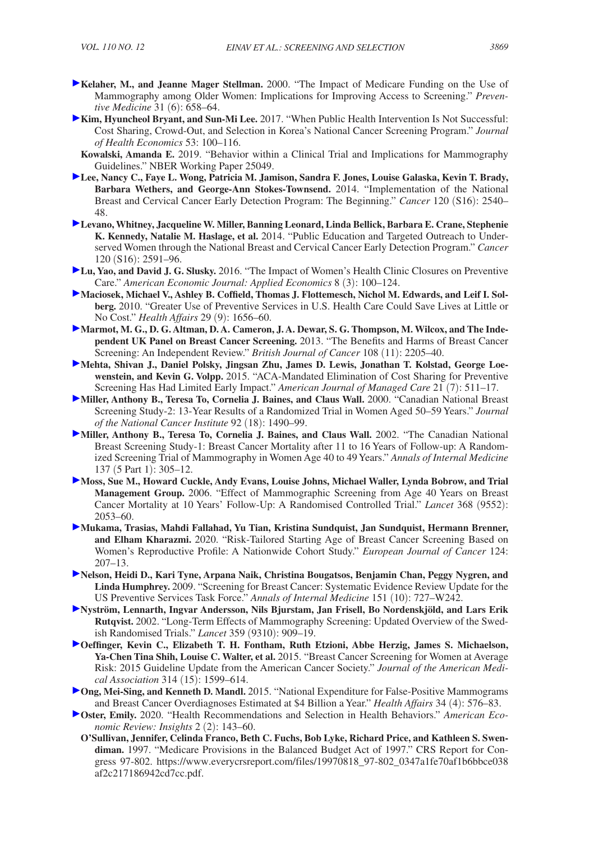- **Kelaher, M., and Jeanne Mager Stellman.** 2000. "The Impact of Medicare Funding on the Use of Mammography among Older Women: Implications for Improving Access to Screening." *Preventive Medicine* 31 (6): 658–64.
- **Kim, Hyuncheol Bryant, and Sun-Mi Lee.** 2017. "When Public Health Intervention Is Not Successful: Cost Sharing, Crowd-Out, and Selection in Korea's National Cancer Screening Program." *Journal of Health Economics* 53: 100–116.
- **Kowalski, Amanda E.** 2019. "Behavior within a Clinical Trial and Implications for Mammography Guidelines." NBER Working Paper 25049.
- **Lee, Nancy C., Faye L. Wong, Patricia M. Jamison, Sandra F. Jones, Louise Galaska, Kevin T. Brady, Barbara Wethers, and George-Ann Stokes-Townsend.** 2014. "Implementation of the National Breast and Cervical Cancer Early Detection Program: The Beginning." *Cancer* 120 (S16): 2540– 48.
- **Levano, Whitney, Jacqueline W. Miller, Banning Leonard, Linda Bellick, Barbara E. Crane, Stephenie K. Kennedy, Natalie M. Haslage, et al.** 2014. "Public Education and Targeted Outreach to Underserved Women through the National Breast and Cervical Cancer Early Detection Program." *Cancer* 120 (S16): 2591–96.
- **Lu, Yao, and David J. G. Slusky.** 2016. "The Impact of Women's Health Clinic Closures on Preventive Care." *American Economic Journal: Applied Economics* 8 (3): 100–124.
- **Maciosek, Michael V., Ashley B. Coffield, Thomas J. Flottemesch, Nichol M. Edwards, and Leif I. Solberg.** 2010. "Greater Use of Preventive Services in U.S. Health Care Could Save Lives at Little or No Cost." *Health Affairs* 29 (9): 1656–60.
- Marmot, M. G., D. G. Altman, D. A. Cameron, J. A. Dewar, S. G. Thompson, M. Wilcox, and The Inde**pendent UK Panel on Breast Cancer Screening.** 2013. "The Benefits and Harms of Breast Cancer Screening: An Independent Review." *British Journal of Cancer* 108 (11): 2205–40.
- **Mehta, Shivan J., Daniel Polsky, Jingsan Zhu, James D. Lewis, Jonathan T. Kolstad, George Loewenstein, and Kevin G. Volpp.** 2015. "ACA-Mandated Elimination of Cost Sharing for Preventive Screening Has Had Limited Early Impact." *American Journal of Managed Care* 21 (7): 511–17.
- **Miller, Anthony B., Teresa To, Cornelia J. Baines, and Claus Wall.** 2000. "Canadian National Breast Screening Study-2: 13-Year Results of a Randomized Trial in Women Aged 50–59 Years." *Journal of the National Cancer Institute* 92 (18): 1490–99.
- **Miller, Anthony B., Teresa To, Cornelia J. Baines, and Claus Wall. 2002. "The Canadian National"** Breast Screening Study-1: Breast Cancer Mortality after 11 to 16 Years of Follow-up: A Randomized Screening Trial of Mammography in Women Age 40 to 49 Years." *Annals of Internal Medicine* 137 (5 Part 1): 305–12.
- **Moss, Sue M., Howard Cuckle, Andy Evans, Louise Johns, Michael Waller, Lynda Bobrow, and Trial Management Group.** 2006. "Effect of Mammographic Screening from Age 40 Years on Breast Cancer Mortality at 10 Years' Follow-Up: A Randomised Controlled Trial." *Lancet* 368 (9552): 2053–60.
- **Mukama, Trasias, Mahdi Fallahad, Yu Tian, Kristina Sundquist, Jan Sundquist, Hermann Brenner, and Elham Kharazmi.** 2020. "Risk-Tailored Starting Age of Breast Cancer Screening Based on Women's Reproductive Profile: A Nationwide Cohort Study." *European Journal of Cancer* 124: 207–13.
- **Nelson, Heidi D., Kari Tyne, Arpana Naik, Christina Bougatsos, Benjamin Chan, Peggy Nygren, and Linda Humphrey.** 2009. "Screening for Breast Cancer: Systematic Evidence Review Update for the US Preventive Services Task Force." *Annals of Internal Medicine* 151 (10): 727–W242.
- **[N](http://pubs.aeaweb.org/action/showLinks?pmid=11918907&crossref=10.1016%2FS0140-6736%2802%2908020-0&citationId=p_55)yström, Lennarth, Ingvar Andersson, Nils Bjurstam, Jan Frisell, Bo Nordenskjöld, and Lars Erik Rutqvist.** 2002. "Long-Term Effects of Mammography Screening: Updated Overview of the Swedish Randomised Trials." *Lancet* 359 (9310): 909–19.
- **[O](http://pubs.aeaweb.org/action/showLinks?crossref=10.1001%2Fjama.2015.12783&citationId=p_56)effinger, Kevin C., Elizabeth T. H. Fontham, Ruth Etzioni, Abbe Herzig, James S. Michaelson, Ya-Chen Tina Shih, Louise C. Walter, et al.** 2015. "Breast Cancer Screening for Women at Average Risk: 2015 Guideline Update from the American Cancer Society." *Journal of the American Medical Association* 314 (15): 1599–614.
- **Ong, Mei-Sing, and Kenneth D. Mandl.** 2015. "National Expenditure for False-Positive Mammograms and Breast Cancer Overdiagnoses Estimated at \$4 Billion a Year." *Health Affairs* 34 (4): 576–83.
- **Oster, Emily.** 2020. "Health Recommendations and Selection in Health Behaviors." *American Economic Review: Insights* 2 (2): 143–60.
	- **O'Sullivan, Jennifer, Celinda Franco, Beth C. Fuchs, Bob Lyke, Richard Price, and Kathleen S. Swendiman.** 1997. "Medicare Provisions in the Balanced Budget Act of 1997." CRS Report for Con[gress 97-802. https://www.everycrsreport.com/files/19970818\\_97-802\\_0347a1fe70af1b6bbce038](https://www.everycrsreport.com/files/19970818_97-802_0347a1fe70af1b6bbce038af2c217186942cd7cc.pdf) af2c217186942cd7cc.pdf.